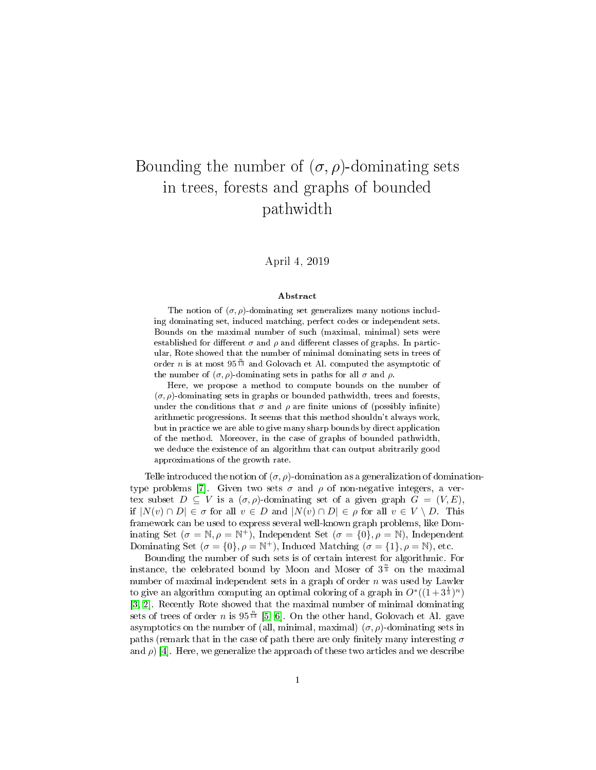# Bounding the number of  $(\sigma, \rho)$ -dominating sets in trees, forests and graphs of bounded pathwidth

### April 4, 2019

#### Abstract

The notion of  $(\sigma, \rho)$ -dominating set generalizes many notions including dominating set, induced matching, perfect codes or independent sets. Bounds on the maximal number of such (maximal, minimal) sets were established for different  $\sigma$  and  $\rho$  and different classes of graphs. In particular, Rote showed that the number of minimal dominating sets in trees of order *n* is at most  $95^{\frac{n}{13}}$  and Golovach et Al. computed the asymptotic of the number of  $(\sigma, \rho)$ -dominating sets in paths for all  $\sigma$  and  $\rho$ .

Here, we propose a method to compute bounds on the number of  $(\sigma, \rho)$ -dominating sets in graphs or bounded pathwidth, trees and forests, under the conditions that  $\sigma$  and  $\rho$  are finite unions of (possibly infinite) arithmetic progressions. It seems that this method shouldn't always work, but in practice we are able to give many sharp bounds by direct application of the method. Moreover, in the case of graphs of bounded pathwidth, we deduce the existence of an algorithm that can output abritrarily good approximations of the growth rate.

Telle introduced the notion of  $(\sigma, \rho)$ -domination as a generalization of domination-type problems [\[7\]](#page-32-0). Given two sets  $\sigma$  and  $\rho$  of non-negative integers, a vertex subset  $D \subseteq V$  is a  $(\sigma, \rho)$ -dominating set of a given graph  $G = (V, E)$ , if  $|N(v) \cap D| \in \sigma$  for all  $v \in D$  and  $|N(v) \cap D| \in \rho$  for all  $v \in V \setminus D$ . This framework can be used to express several well-known graph problems, like Dominating Set ( $\sigma = \mathbb{N}, \rho = \mathbb{N}^+$ ), Independent Set ( $\sigma = \{0\}, \rho = \mathbb{N}$ ), Independent Dominating Set  $(\sigma = \{0\}, \rho = \mathbb{N}^+)$ , Induced Matching  $(\sigma = \{1\}, \rho = \mathbb{N})$ , etc.

Bounding the number of such sets is of certain interest for algorithmic. For instance, the celebrated bound by Moon and Moser of  $3^{\frac{n}{3}}$  on the maximal number of maximal independent sets in a graph of order  $n$  was used by Lawler to give an algorithm computing an optimal coloring of a graph in  $O^*((1+3^{\frac{1}{3}})^n)$ [\[3,](#page-32-1) [2\]](#page-32-2). Recently Rote showed that the maximal number of minimal dominating sets of trees of order *n* is  $95^{\frac{n}{13}}$  [\[5,](#page-32-3) [6\]](#page-32-4). On the other hand, Golovach et Al. gave asymptotics on the number of (all, minimal, maximal)  $(\sigma, \rho)$ -dominating sets in paths (remark that in the case of path there are only finitely many interesting  $\sigma$ and  $\rho$ ) [\[4\]](#page-32-5). Here, we generalize the approach of these two articles and we describe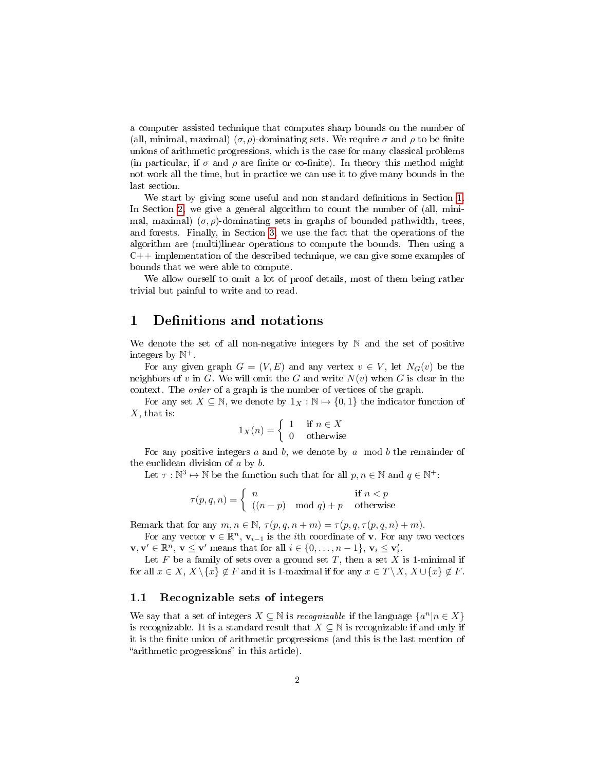a computer assisted technique that computes sharp bounds on the number of (all, minimal, maximal)  $(\sigma, \rho)$ -dominating sets. We require  $\sigma$  and  $\rho$  to be finite unions of arithmetic progressions, which is the case for many classical problems (in particular, if  $\sigma$  and  $\rho$  are finite or co-finite). In theory this method might not work all the time, but in practice we can use it to give many bounds in the last section.

We start by giving some useful and non standard definitions in Section [1.](#page-1-0) In Section [2,](#page-3-0) we give a general algorithm to count the number of (all, minimal, maximal)  $(\sigma, \rho)$ -dominating sets in graphs of bounded pathwidth, trees, and forests. Finally, in Section [3,](#page-12-0) we use the fact that the operations of the algorithm are (multi)linear operations to compute the bounds. Then using a C++ implementation of the described technique, we can give some examples of bounds that we were able to compute.

We allow ourself to omit a lot of proof details, most of them being rather trivial but painful to write and to read.

# <span id="page-1-0"></span>1 Definitions and notations

We denote the set of all non-negative integers by  $\mathbb N$  and the set of positive integers by  $\mathbb{N}^+$ .

For any given graph  $G = (V, E)$  and any vertex  $v \in V$ , let  $N_G(v)$  be the neighbors of v in G. We will omit the G and write  $N(v)$  when G is clear in the context. The order of a graph is the number of vertices of the graph.

For any set  $X \subseteq \mathbb{N}$ , we denote by  $1_X : \mathbb{N} \to \{0, 1\}$  the indicator function of  $X$ , that is:

$$
1_X(n) = \begin{cases} 1 & \text{if } n \in X \\ 0 & \text{otherwise} \end{cases}
$$

For any positive integers a and b, we denote by a mod b the remainder of the euclidean division of a by b.

Let  $\tau : \mathbb{N}^3 \mapsto \mathbb{N}$  be the function such that for all  $p, n \in \mathbb{N}$  and  $q \in \mathbb{N}^+$ :

$$
\tau(p,q,n) = \begin{cases} n & \text{if } n < p \\ ((n-p) \mod q) + p & \text{otherwise} \end{cases}
$$

Remark that for any  $m, n \in \mathbb{N}, \tau(p,q,n+m) = \tau(p,q,\tau(p,q,n) + m)$ .

For any vector  $\mathbf{v} \in \mathbb{R}^n$ ,  $\mathbf{v}_{i-1}$  is the *i*th coordinate of **v**. For any two vectors  $\mathbf{v}, \mathbf{v}' \in \mathbb{R}^n$ ,  $\mathbf{v} \leq \mathbf{v}'$  means that for all  $i \in \{0, \ldots, n-1\}$ ,  $\mathbf{v}_i \leq \mathbf{v}'_i$ .

Let  $F$  be a family of sets over a ground set  $T$ , then a set  $X$  is 1-minimal if for all  $x \in X$ ,  $X \setminus \{x\} \notin F$  and it is 1-maximal if for any  $x \in T \setminus X$ ,  $X \cup \{x\} \notin F$ .

### 1.1 Recognizable sets of integers

We say that a set of integers  $X \subseteq \mathbb{N}$  is *recognizable* if the language  $\{a^n | n \in X\}$ is recognizable. It is a standard result that  $X \subseteq \mathbb{N}$  is recognizable if and only if it is the finite union of arithmetic progressions (and this is the last mention of "arithmetic progressions" in this article).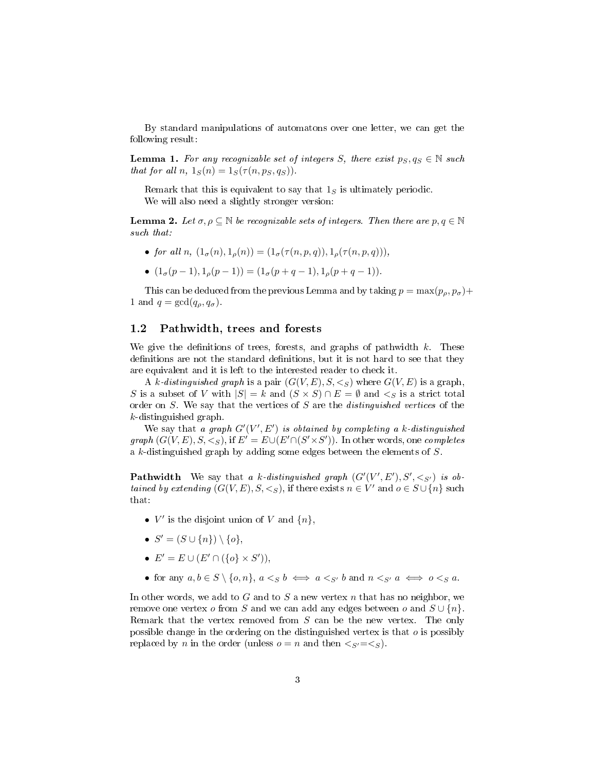By standard manipulations of automatons over one letter, we can get the following result:

<span id="page-2-0"></span>**Lemma 1.** For any recognizable set of integers S, there exist  $p_S, q_S \in \mathbb{N}$  such that for all n,  $1_S(n) = 1_S(\tau(n, p_S, q_S)).$ 

Remark that this is equivalent to say that  $1<sub>S</sub>$  is ultimately periodic. We will also need a slightly stronger version:

<span id="page-2-1"></span>**Lemma 2.** Let  $\sigma, \rho \subseteq \mathbb{N}$  be recognizable sets of integers. Then there are  $p, q \in \mathbb{N}$ such that:

- for all n,  $(1_{\sigma}(n), 1_{\rho}(n)) = (1_{\sigma}(\tau(n, p, q)), 1_{\rho}(\tau(n, p, q))),$
- $(1_{\sigma}(p-1), 1_{\rho}(p-1)) = (1_{\sigma}(p+q-1), 1_{\rho}(p+q-1)).$

This can be deduced from the previous Lemma and by taking  $p = \max(p_\rho, p_\sigma) +$ 1 and  $q = \gcd(q_\rho, q_\sigma)$ .

### 1.2 Pathwidth, trees and forests

We give the definitions of trees, forests, and graphs of pathwidth  $k$ . These definitions are not the standard definitions, but it is not hard to see that they are equivalent and it is left to the interested reader to check it.

A k-distinguished graph is a pair  $(G(V, E), S, \leq_S)$  where  $G(V, E)$  is a graph, S is a subset of V with  $|S| = k$  and  $(S \times S) \cap E = \emptyset$  and  $\lt_S$  is a strict total order on S. We say that the vertices of S are the distinguished vertices of the k-distinguished graph.

We say that a graph  $G'(V', E')$  is obtained by completing a k-distinguished graph  $(G(V, E), S, \leq_S)$ , if  $E' = E \cup (E' \cap (S' \times S'))$ . In other words, one *completes* a k-distinguished graph by adding some edges between the elements of S.

**Pathwidth** We say that a k-distinguished graph  $(G'(V', E'), S', \leq_{S'})$  is obtained by extending  $(G(V, E), S, \leq_S)$ , if there exists  $n \in V'$  and  $o \in S \cup \{n\}$  such that:

- $V'$  is the disjoint union of V and  $\{n\}$ ,
- $S' = (S \cup \{n\}) \setminus \{o\},\$
- $E' = E \cup (E' \cap (\{o\} \times S')),$
- for any  $a, b \in S \setminus \{o, n\}, a <_{S} b \iff a <_{S'} b$  and  $n <_{S'} a \iff o <_{S} a$ .

In other words, we add to G and to S a new vertex  $n$  that has no neighbor, we remove one vertex o from S and we can add any edges between o and  $S \cup \{n\}$ . Remark that the vertex removed from S can be the new vertex. The only possible change in the ordering on the distinguished vertex is that o is possibly replaced by n in the order (unless  $o = n$  and then  $\langle s' = \langle s \rangle$ ).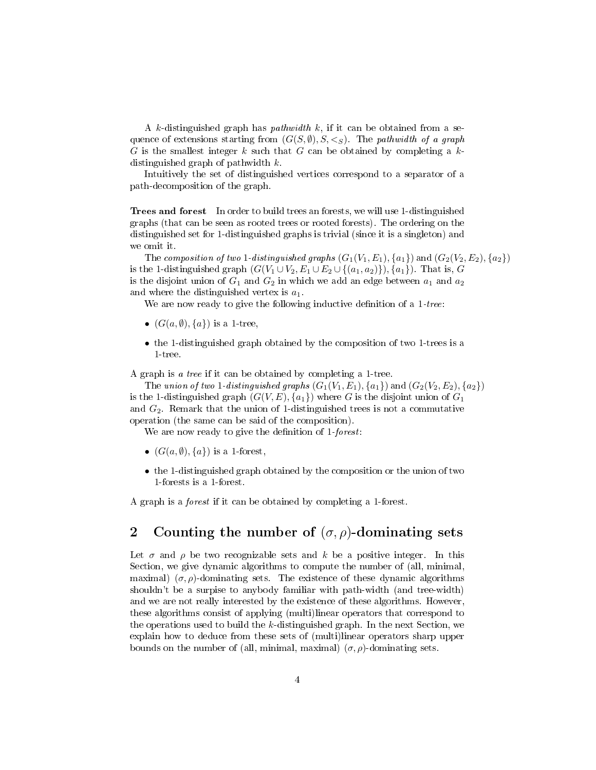A k-distinguished graph has *pathwidth*  $k$ , if it can be obtained from a sequence of extensions starting from  $(G(S, \emptyset), S, \leq_S)$ . The *pathwidth of a graph* G is the smallest integer k such that G can be obtained by completing a  $k$ distinguished graph of pathwidth  $k$ .

Intuitively the set of distinguished vertices correspond to a separator of a path-decomposition of the graph.

Trees and forest In order to build trees an forests, we will use 1-distinguished graphs (that can be seen as rooted trees or rooted forests). The ordering on the distinguished set for 1-distinguished graphs is trivial (since it is a singleton) and we omit it.

The composition of two 1-distinguished graphs  $(G_1(V_1, E_1), \{a_1\})$  and  $(G_2(V_2, E_2), \{a_2\})$ is the 1-distinguished graph  $(G(V_1 \cup V_2, E_1 \cup E_2 \cup \{(a_1, a_2)\})$ ,  $\{a_1\})$ . That is, G is the disjoint union of  $G_1$  and  $G_2$  in which we add an edge between  $a_1$  and  $a_2$ and where the distinguished vertex is  $a_1$ .

We are now ready to give the following inductive definition of a  $1$ -tree:

- $(G(a, \emptyset), \{a\})$  is a 1-tree,
- the 1-distinguished graph obtained by the composition of two 1-trees is a 1-tree.

A graph is a tree if it can be obtained by completing a 1-tree.

The union of two 1-distinguished graphs  $(G_1(V_1, E_1), \{a_1\})$  and  $(G_2(V_2, E_2), \{a_2\})$ is the 1-distinguished graph  $(G(V, E), \{a_1\})$  where G is the disjoint union of  $G_1$ and  $G_2$ . Remark that the union of 1-distinguished trees is not a commutative operation (the same can be said of the composition).

We are now ready to give the definition of 1-forest:

- $(G(a, \emptyset), \{a\})$  is a 1-forest,
- the 1-distinguished graph obtained by the composition or the union of two 1-forests is a 1-forest.

A graph is a forest if it can be obtained by completing a 1-forest.

# <span id="page-3-0"></span>2 Counting the number of  $(\sigma, \rho)$ -dominating sets

Let  $\sigma$  and  $\rho$  be two recognizable sets and k be a positive integer. In this Section, we give dynamic algorithms to compute the number of (all, minimal, maximal)  $(\sigma, \rho)$ -dominating sets. The existence of these dynamic algorithms shouldn't be a surpise to anybody familiar with path-width (and tree-width) and we are not really interested by the existence of these algorithms. However, these algorithms consist of applying (multi)linear operators that correspond to the operations used to build the  $k$ -distinguished graph. In the next Section, we explain how to deduce from these sets of (multi)linear operators sharp upper bounds on the number of (all, minimal, maximal)  $(\sigma, \rho)$ -dominating sets.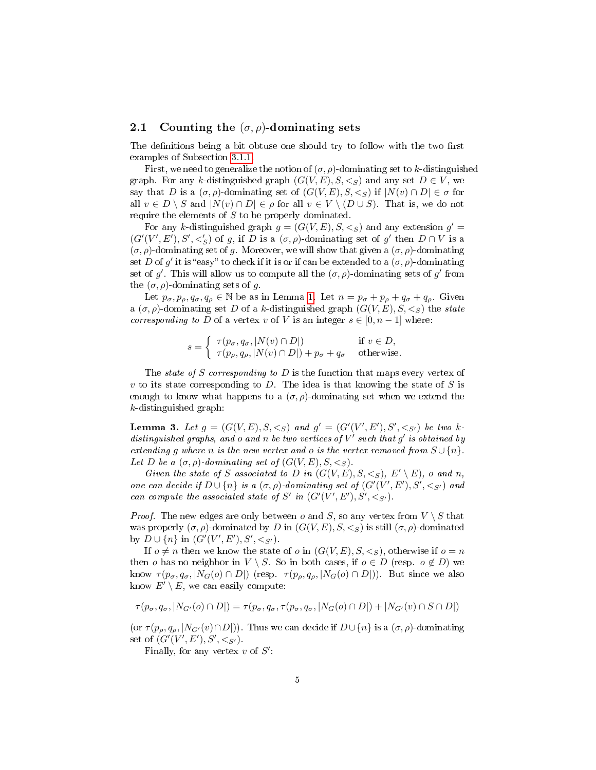### 2.1 Counting the  $(\sigma, \rho)$ -dominating sets

The definitions being a bit obtuse one should try to follow with the two first examples of Subsection [3.1.1.](#page-15-0)

First, we need to generalize the notion of  $(\sigma, \rho)$ -dominating set to k-distinguished graph. For any k-distinguished graph  $(G(V, E), S, \leq_S)$  and any set  $D \in V$ , we say that D is a  $(\sigma, \rho)$ -dominating set of  $(G(V, E), S, \leq_S)$  if  $|N(v) \cap D| \in \sigma$  for all  $v \in D \setminus S$  and  $|N(v) \cap D| \in \rho$  for all  $v \in V \setminus (D \cup S)$ . That is, we do not require the elements of S to be properly dominated.

For any k-distinguished graph  $g = (G(V, E), S, \leq_S)$  and any extension  $g' =$  $(G'(V', E'), S', <'_{S})$  of g, if D is a  $(\sigma, \rho)$ -dominating set of g' then  $D \cap V$  is a  $(\sigma, \rho)$ -dominating set of g. Moreover, we will show that given a  $(\sigma, \rho)$ -dominating set D of g' it is "easy" to check if it is or if can be extended to a  $(\sigma, \rho)$ -dominating set of g'. This will allow us to compute all the  $(\sigma, \rho)$ -dominating sets of g' from the  $(\sigma, \rho)$ -dominating sets of g.

Let  $p_{\sigma}, p_{\rho}, q_{\sigma}, q_{\rho} \in \mathbb{N}$  be as in Lemma [1.](#page-2-0) Let  $n = p_{\sigma} + p_{\rho} + q_{\sigma} + q_{\rho}$ . Given a  $(\sigma, \rho)$ -dominating set D of a k-distinguished graph  $(G(V, E), S, \leq_S)$  the state corresponding to D of a vertex v of V is an integer  $s \in [0, n-1]$  where:

$$
s = \begin{cases} \tau(p_{\sigma}, q_{\sigma}, |N(v) \cap D|) & \text{if } v \in D, \\ \tau(p_{\rho}, q_{\rho}, |N(v) \cap D|) + p_{\sigma} + q_{\sigma} & \text{otherwise.} \end{cases}
$$

The state of S corresponding to  $D$  is the function that maps every vertex of v to its state corresponding to D. The idea is that knowing the state of S is enough to know what happens to a  $(\sigma, \rho)$ -dominating set when we extend the k-distinguished graph:

<span id="page-4-0"></span>**Lemma 3.** Let  $g = (G(V, E), S, \leq_S)$  and  $g' = (G'(V', E'), S', \leq_{S'})$  be two kdistinguished graphs, and o and n be two vertices of  $V'$  such that  $g'$  is obtained by extending q where n is the new vertex and o is the vertex removed from  $S \cup \{n\}$ . Let D be a  $(\sigma, \rho)$ -dominating set of  $(G(V, E), S, \leq_S)$ .

Given the state of S associated to D in  $(G(V, E), S, \leq_S), E' \setminus E)$ , o and n, one can decide if  $D \cup \{n\}$  is a  $(\sigma, \rho)$ -dominating set of  $(G'(V', E'), S', \lt_{S'})$  and can compute the associated state of  $S'$  in  $(G'(V', E'), S', \langle S \rangle)$ .

*Proof.* The new edges are only between o and S, so any vertex from  $V \setminus S$  that was properly  $(\sigma, \rho)$ -dominated by D in  $(G(V, E), S, \leq_S)$  is still  $(\sigma, \rho)$ -dominated by  $D \cup \{n\}$  in  $(G'(V', E'), S', \lt_{S'})$ .

If  $o \neq n$  then we know the state of o in  $(G(V, E), S, \leq_S)$ , otherwise if  $o = n$ then o has no neighbor in  $V \setminus S$ . So in both cases, if  $o \in D$  (resp.  $o \notin D$ ) we know  $\tau(p_{\sigma}, q_{\sigma}, |N_G(o) \cap D|)$  (resp.  $\tau(p_{\rho}, q_{\rho}, |N_G(o) \cap D|)$ ). But since we also know  $E' \setminus E$ , we can easily compute:

$$
\tau(p_{\sigma}, q_{\sigma}, |N_{G'}(o) \cap D|) = \tau(p_{\sigma}, q_{\sigma}, \tau(p_{\sigma}, q_{\sigma}, |N_G(o) \cap D|) + |N_{G'}(v) \cap S \cap D|)
$$

(or  $\tau(p_o, q_o, |N_{G'}(v) \cap D|)$ ). Thus we can decide if  $D \cup \{n\}$  is a  $(\sigma, \rho)$ -dominating set of  $(G'(V', E'), S', <_{S'})$ .

Finally, for any vertex  $v$  of  $S'$ :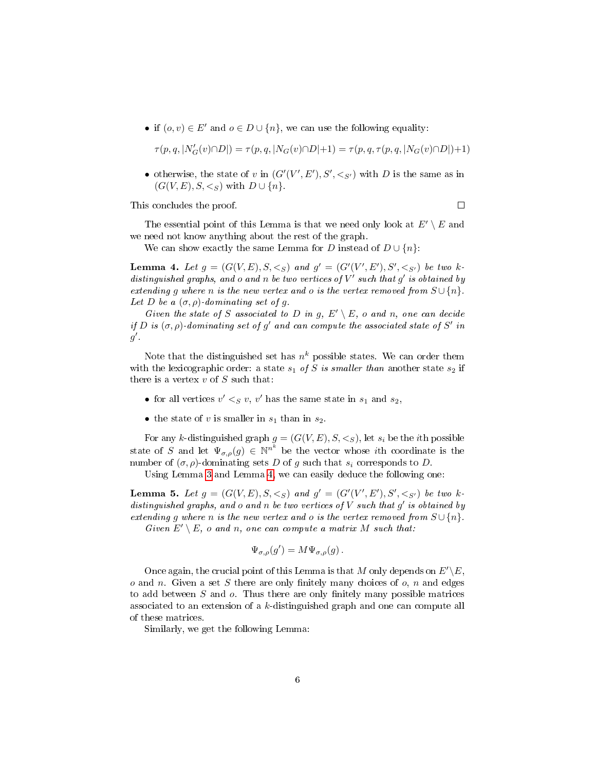• if  $(o, v) \in E'$  and  $o \in D \cup \{n\}$ , we can use the following equality:

$$
\tau(p,q,|N'_G(v) \cap D|) = \tau(p,q,|N_G(v) \cap D|+1) = \tau(p,q,\tau(p,q,|N_G(v) \cap D|)+1)
$$

• otherwise, the state of v in  $(G'(V', E'), S', \leq_{S'})$  with D is the same as in  $(G(V, E), S, \leq_S)$  with  $D \cup \{n\}$ .

This concludes the proof.

 $\Box$ 

The essential point of this Lemma is that we need only look at  $E' \setminus E$  and we need not know anything about the rest of the graph.

We can show exactly the same Lemma for D instead of  $D \cup \{n\}$ :

<span id="page-5-0"></span>**Lemma 4.** Let  $g = (G(V, E), S, \leq_S)$  and  $g' = (G'(V', E'), S', \leq_{S'})$  be two kdistinguished graphs, and o and n be two vertices of  $V'$  such that  $g'$  is obtained by extending g where n is the new vertex and o is the vertex removed from  $S \cup \{n\}$ . Let D be a  $(\sigma, \rho)$ -dominating set of q.

Given the state of S associated to D in g,  $E' \setminus E$ , o and n, one can decide if D is  $(\sigma, \rho)$ -dominating set of g' and can compute the associated state of S' in  $g'$ .

Note that the distinguished set has  $n^k$  possible states. We can order them with the lexicographic order: a state  $s_1$  of S is smaller than another state  $s_2$  if there is a vertex  $v$  of  $S$  such that:

- for all vertices  $v' <_S v$ , v' has the same state in  $s_1$  and  $s_2$ ,
- the state of v is smaller in  $s_1$  than in  $s_2$ .

For any k-distinguished graph  $g = (G(V, E), S, \leq_S)$ , let  $s_i$  be the *i*th possible state of S and let  $\Psi_{\sigma,\rho}(g) \in \mathbb{N}^{n^k}$  be the vector whose *i*th coordinate is the number of  $(\sigma, \rho)$ -dominating sets D of g such that  $s_i$  corresponds to D.

Using Lemma [3](#page-4-0) and Lemma [4,](#page-5-0) we can easily deduce the following one:

<span id="page-5-1"></span>**Lemma 5.** Let  $g = (G(V, E), S, \leq_S)$  and  $g' = (G'(V', E'), S', \leq_{S'})$  be two kdistinguished graphs, and  $o$  and  $n$  be two vertices of  $V$  such that  $g'$  is obtained by extending g where n is the new vertex and o is the vertex removed from  $S \cup \{n\}$ . Given  $E' \setminus E$ , o and n, one can compute a matrix M such that:

$$
\Psi_{\sigma,\rho}(g') = M \Psi_{\sigma,\rho}(g) \, .
$$

Once again, the crucial point of this Lemma is that M only depends on  $E'\< E$ ,  $o$  and  $n$ . Given a set  $S$  there are only finitely many choices of  $o$ ,  $n$  and edges to add between  $S$  and  $o$ . Thus there are only finitely many possible matrices associated to an extension of a k-distinguished graph and one can compute all of these matrices.

Similarly, we get the following Lemma: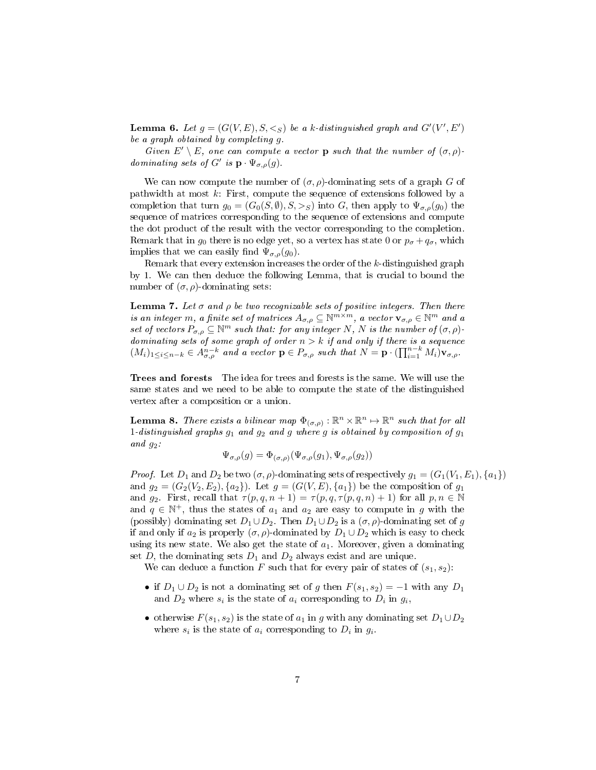**Lemma 6.** Let  $g = (G(V, E), S, \leq_S)$  be a k-distinguished graph and  $G'(V', E')$ be a graph obtained by completing g.

Given  $E' \setminus E$ , one can compute a vector **p** such that the number of  $(\sigma, \rho)$ dominating sets of G' is  $\mathbf{p} \cdot \Psi_{\sigma,\rho}(g)$ .

We can now compute the number of  $(\sigma, \rho)$ -dominating sets of a graph G of pathwidth at most k: First, compute the sequence of extensions followed by a completion that turn  $g_0 = (G_0(S, \emptyset), S, >_S)$  into G, then apply to  $\Psi_{\sigma,\rho}(g_0)$  the sequence of matrices corresponding to the sequence of extensions and compute the dot product of the result with the vector corresponding to the completion. Remark that in  $g_0$  there is no edge yet, so a vertex has state 0 or  $p_{\sigma} + q_{\sigma}$ , which implies that we can easily find  $\Psi_{\sigma,\rho}(g_0)$ .

Remark that every extension increases the order of the k-distinguished graph by 1. We can then deduce the following Lemma, that is crucial to bound the number of  $(σ, ρ)$ -dominating sets:

<span id="page-6-0"></span>**Lemma 7.** Let  $\sigma$  and  $\rho$  be two recognizable sets of positive integers. Then there is an integer m, a finite set of matrices  $A_{\sigma,\rho} \subseteq \mathbb{N}^{m \times m}$ , a vector  $\mathbf{v}_{\sigma,\rho} \in \mathbb{N}^m$  and a set of vectors  $P_{\sigma,\rho} \subseteq \mathbb{N}^m$  such that: for any integer N, N is the number of  $(\sigma,\rho)$ . dominating sets of some graph of order  $n > k$  if and only if there is a sequence  $(M_i)_{1\leq i\leq n-k}\in A^{n-k}_{\sigma,\rho}$  and a vector  $\mathbf{p}\in P_{\sigma,\rho}$  such that  $N=\mathbf{p}\cdot\left(\prod_{i=1}^{n-k}M_i\right)\mathbf{v}_{\sigma,\rho}$ .

Trees and forests The idea for trees and forests is the same. We will use the same states and we need to be able to compute the state of the distinguished vertex after a composition or a union.

**Lemma 8.** There exists a bilinear map  $\Phi_{(\sigma,\rho)} : \mathbb{R}^n \times \mathbb{R}^n \mapsto \mathbb{R}^n$  such that for all 1-distinguished graphs  $g_1$  and  $g_2$  and g where g is obtained by composition of  $g_1$ and  $g_2$ :

$$
\Psi_{\sigma,\rho}(g) = \Phi_{(\sigma,\rho)}(\Psi_{\sigma,\rho}(g_1), \Psi_{\sigma,\rho}(g_2))
$$

*Proof.* Let  $D_1$  and  $D_2$  be two  $(\sigma, \rho)$ -dominating sets of respectively  $g_1 = (G_1(V_1, E_1), \{a_1\})$ and  $g_2 = (G_2(V_2, E_2), \{a_2\})$ . Let  $g = (G(V, E), \{a_1\})$  be the composition of  $g_1$ and  $g_2$ . First, recall that  $\tau(p,q,n+1) = \tau(p,q,\tau(p,q,n)+1)$  for all  $p,n \in \mathbb{N}$ and  $q \in \mathbb{N}^+$ , thus the states of  $a_1$  and  $a_2$  are easy to compute in g with the (possibly) dominating set  $D_1 \cup D_2$ . Then  $D_1 \cup D_2$  is a  $(\sigma, \rho)$ -dominating set of g if and only if  $a_2$  is properly  $(\sigma, \rho)$ -dominated by  $D_1 \cup D_2$  which is easy to check using its new state. We also get the state of  $a_1$ . Moreover, given a dominating set D, the dominating sets  $D_1$  and  $D_2$  always exist and are unique.

We can deduce a function F such that for every pair of states of  $(s_1, s_2)$ :

- if  $D_1 \cup D_2$  is not a dominating set of g then  $F(s_1, s_2) = -1$  with any  $D_1$ and  $D_2$  where  $s_i$  is the state of  $a_i$  corresponding to  $D_i$  in  $g_i$ ,
- otherwise  $F(s_1, s_2)$  is the state of  $a_1$  in g with any dominating set  $D_1 \cup D_2$ where  $s_i$  is the state of  $a_i$  corresponding to  $D_i$  in  $g_i$ .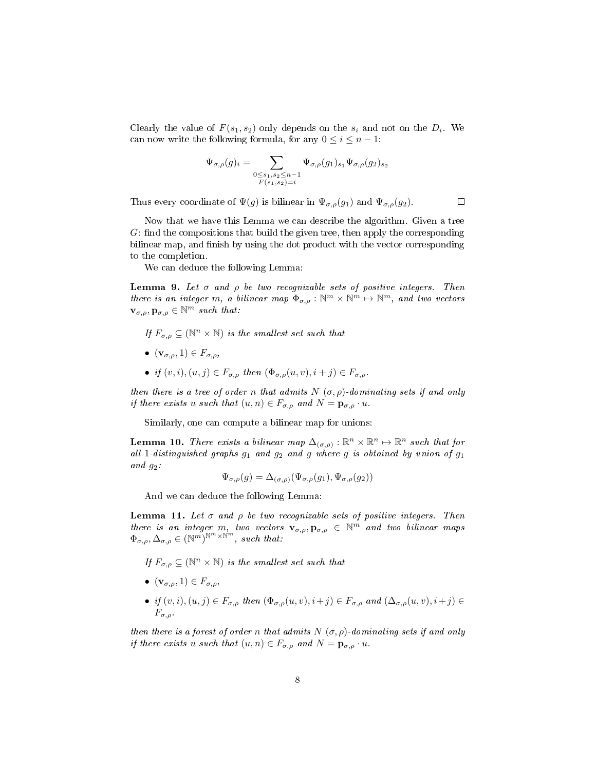Clearly the value of  $F(s_1, s_2)$  only depends on the  $s_i$  and not on the  $D_i$ . We can now write the following formula, for any  $0 \leq i \leq n-1$ :

$$
\Psi_{\sigma,\rho}(g)_i = \sum_{\substack{0 \le s_1, s_2 \le n-1 \\ F(s_1, s_2) = i}} \Psi_{\sigma,\rho}(g_1)_{s_1} \Psi_{\sigma,\rho}(g_2)_{s_2}
$$

 $\Box$ 

Thus every coordinate of  $\Psi(g)$  is bilinear in  $\Psi_{\sigma,\rho}(g_1)$  and  $\Psi_{\sigma,\rho}(g_2)$ .

Now that we have this Lemma we can describe the algorithm. Given a tree  $G:$  find the compositions that build the given tree, then apply the corresponding bilinear map, and finish by using the dot product with the vector corresponding to the completion.

We can deduce the following Lemma:

<span id="page-7-0"></span>**Lemma 9.** Let  $\sigma$  and  $\rho$  be two recognizable sets of positive integers. Then there is an integer m, a bilinear map  $\Phi_{\sigma,\rho}: \mathbb{N}^m \times \mathbb{N}^m \mapsto \mathbb{N}^m$ , and two vectors  $\mathbf{v}_{\sigma,\rho}, \mathbf{p}_{\sigma,\rho} \in \mathbb{N}^m$  such that:

- If  $F_{\sigma,\rho} \subseteq (\mathbb{N}^n \times \mathbb{N})$  is the smallest set such that
- $(\mathbf{v}_{\sigma,\rho},1) \in F_{\sigma,\rho}$ ,
- if  $(v, i), (u, j) \in F_{\sigma, \rho}$  then  $(\Phi_{\sigma, \rho}(u, v), i + j) \in F_{\sigma, \rho}$ .

then there is a tree of order n that admits  $N(\sigma, \rho)$ -dominating sets if and only if there exists u such that  $(u, n) \in F_{\sigma, \rho}$  and  $N = \mathbf{p}_{\sigma, \rho} \cdot u$ .

Similarly, one can compute a bilinear map for unions:

**Lemma 10.** There exists a bilinear map  $\Delta_{(\sigma,\rho)} : \mathbb{R}^n \times \mathbb{R}^n \mapsto \mathbb{R}^n$  such that for all 1-distinguished graphs  $g_1$  and  $g_2$  and g where g is obtained by union of  $g_1$ and  $q_2$ :

$$
\Psi_{\sigma,\rho}(g) = \Delta_{(\sigma,\rho)}(\Psi_{\sigma,\rho}(g_1), \Psi_{\sigma,\rho}(g_2))
$$

And we can deduce the following Lemma:

<span id="page-7-1"></span>**Lemma 11.** Let  $\sigma$  and  $\rho$  be two recognizable sets of positive integers. Then there is an integer m, two vectors  $\mathbf{v}_{\sigma,\rho}, \mathbf{p}_{\sigma,\rho} \in \mathbb{N}^m$  and two bilinear maps  $\Phi_{\sigma,\rho}, \Delta_{\sigma,\rho} \in (\mathbb{N}^m)^{\mathbb{N}^m \times \mathbb{N}^m}$ , such that:

If  $F_{\sigma,\rho} \subseteq (\mathbb{N}^n \times \mathbb{N})$  is the smallest set such that

- $(\mathbf{v}_{\sigma,\rho},1) \in F_{\sigma,\rho}$ ,
- if  $(v, i), (u, j) \in F_{\sigma, \rho}$  then  $(\Phi_{\sigma, \rho}(u, v), i+j) \in F_{\sigma, \rho}$  and  $(\Delta_{\sigma, \rho}(u, v), i+j) \in$  $F_{\sigma,\rho}$ .

then there is a forest of order n that admits  $N(\sigma, \rho)$ -dominating sets if and only if there exists u such that  $(u, n) \in F_{\sigma,\rho}$  and  $N = \mathbf{p}_{\sigma,\rho} \cdot u$ .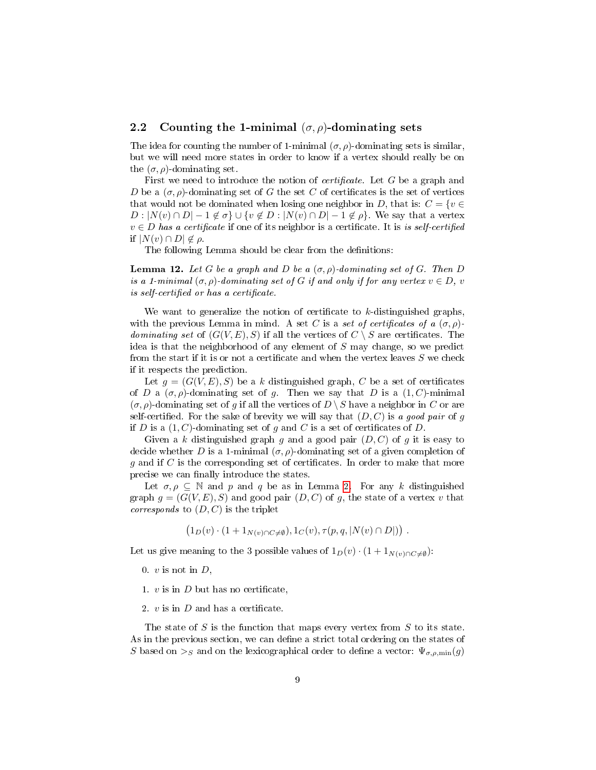### 2.2 Counting the 1-minimal  $(\sigma, \rho)$ -dominating sets

The idea for counting the number of 1-minimal  $(\sigma, \rho)$ -dominating sets is similar. but we will need more states in order to know if a vertex should really be on the  $(\sigma, \rho)$ -dominating set.

First we need to introduce the notion of *certificate*. Let  $G$  be a graph and D be a  $(\sigma, \rho)$ -dominating set of G the set C of certificates is the set of vertices that would not be dominated when losing one neighbor in D, that is:  $C = \{v \in \mathbb{R}^n : v \in \mathbb{R}^n\}$  $D: |N(v) \cap D| - 1 \notin \sigma$   $\cup \{v \notin D: |N(v) \cap D| - 1 \notin \rho\}$ . We say that a vertex  $v \in D$  has a certificate if one of its neighbor is a certificate. It is is self-certified if  $|N(v) \cap D| \notin \rho$ .

The following Lemma should be clear from the definitions:

**Lemma 12.** Let G be a graph and D be a  $(\sigma, \rho)$ -dominating set of G. Then D is a 1-minimal  $(\sigma, \rho)$ -dominating set of G if and only if for any vertex  $v \in D$ , v is self-certified or has a certificate.

We want to generalize the notion of certificate to  $k$ -distinguished graphs, with the previous Lemma in mind. A set C is a set of certificates of a  $(\sigma, \rho)$ dominating set of  $(G(V, E), S)$  if all the vertices of  $C \setminus S$  are certificates. The idea is that the neighborhood of any element of S may change, so we predict from the start if it is or not a certificate and when the vertex leaves  $S$  we check if it respects the prediction.

Let  $g = (G(V, E), S)$  be a k distinguished graph, C be a set of certificates of D a  $(\sigma, \rho)$ -dominating set of g. Then we say that D is a  $(1, C)$ -minimal  $(\sigma, \rho)$ -dominating set of g if all the vertices of  $D \setminus S$  have a neighbor in C or are self-certified. For the sake of brevity we will say that  $(D, C)$  is a good pair of g if D is a  $(1, C)$ -dominating set of g and C is a set of certificates of D.

Given a k distinguished graph g and a good pair  $(D, C)$  of g it is easy to decide whether D is a 1-minimal  $(\sigma, \rho)$ -dominating set of a given completion of  $g$  and if  $C$  is the corresponding set of certificates. In order to make that more precise we can finally introduce the states.

Let  $\sigma, \rho \subseteq \mathbb{N}$  and  $\rho$  and  $q$  be as in Lemma [2.](#page-2-1) For any k distinguished graph  $g = (G(V, E), S)$  and good pair  $(D, C)$  of g, the state of a vertex v that *corresponds* to  $(D, C)$  is the triplet

$$
(1_D(v) \cdot (1 + 1_{N(v) \cap C \neq \emptyset}), 1_C(v), \tau(p, q, |N(v) \cap D|)).
$$

Let us give meaning to the 3 possible values of  $1_D(v) \cdot (1 + 1_{N(v) \cap C \neq \emptyset})$ :

0.  $v$  is not in  $D$ ,

- 1.  $v$  is in  $D$  but has no certificate,
- 2.  $v$  is in  $D$  and has a certificate.

The state of  $S$  is the function that maps every vertex from  $S$  to its state. As in the previous section, we can define a strict total ordering on the states of S based on  $>_S$  and on the lexicographical order to define a vector:  $\Psi_{\sigma,\rho,\min}(g)$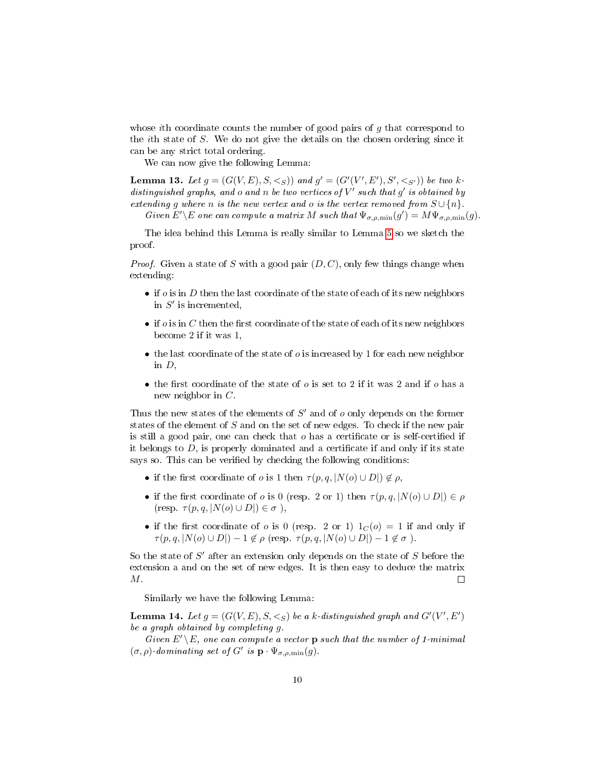whose ith coordinate counts the number of good pairs of  $g$  that correspond to the ith state of S. We do not give the details on the chosen ordering since it can be any strict total ordering.

We can now give the following Lemma:

**Lemma 13.** Let  $g = (G(V, E), S, \leq_S))$  and  $g' = (G'(V', E'), S', \leq_{S'}))$  be two kdistinguished graphs, and  $o$  and  $n$  be two vertices of  $V'$  such that  $g'$  is obtained by extending g where n is the new vertex and o is the vertex removed from  $S \cup \{n\}$ .

Given  $E' \backslash E$  one can compute a matrix M such that  $\Psi_{\sigma,\rho,\min}(g') = M \Psi_{\sigma,\rho,\min}(g)$ .

The idea behind this Lemma is really similar to Lemma [5](#page-5-1) so we sketch the proof.

*Proof.* Given a state of S with a good pair  $(D, C)$ , only few things change when extending:

- if  $o$  is in  $D$  then the last coordinate of the state of each of its new neighbors in  $S'$  is incremented,
- if  $o$  is in C then the first coordinate of the state of each of its new neighbors become 2 if it was 1,
- the last coordinate of the state of  $o$  is increased by 1 for each new neighbor in D,
- the first coordinate of the state of  $o$  is set to 2 if it was 2 and if  $o$  has a new neighbor in  $C$ .

Thus the new states of the elements of  $S'$  and of  $o$  only depends on the former states of the element of S and on the set of new edges. To check if the new pair is still a good pair, one can check that  $\sigma$  has a certificate or is self-certified if it belongs to  $D$ , is properly dominated and a certificate if and only if its state says so. This can be verified by checking the following conditions:

- if the first coordinate of o is 1 then  $\tau(p,q,|N(o) \cup D|) \notin \rho$ ,
- if the first coordinate of o is 0 (resp. 2 or 1) then  $\tau(p,q,|N(o) \cup D|) \in \rho$  $(\text{resp. } \tau(p,q,|N(o) \cup D|) \in \sigma),$
- if the first coordinate of o is 0 (resp. 2 or 1)  $1_C(o) = 1$  if and only if  $\tau(p,q,|N(o) \cup D|) - 1 \notin \rho$  (resp.  $\tau(p,q,|N(o) \cup D|) - 1 \notin \sigma$ ).

So the state of  $S'$  after an extension only depends on the state of  $S$  before the extension a and on the set of new edges. It is then easy to deduce the matrix M.  $\Box$ 

Similarly we have the following Lemma:

**Lemma 14.** Let  $g = (G(V, E), S, \leq_S)$  be a k-distinguished graph and  $G'(V', E')$ be a graph obtained by completing g.

Given  $E' \setminus E$ , one can compute a vector **p** such that the number of 1-minimal  $(\sigma, \rho)$ -dominating set of G' is  $\mathbf{p} \cdot \Psi_{\sigma,\rho,\min}(g)$ .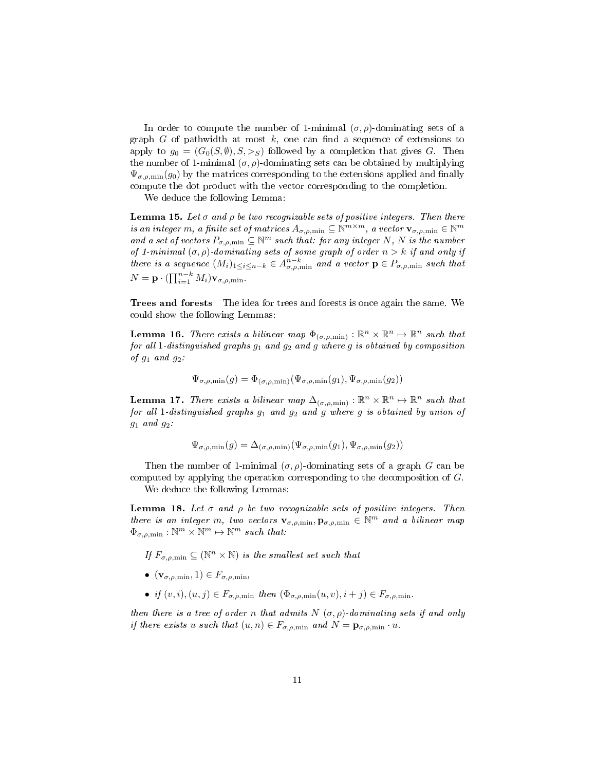In order to compute the number of 1-minimal  $(\sigma, \rho)$ -dominating sets of a graph  $G$  of pathwidth at most  $k$ , one can find a sequence of extensions to apply to  $g_0 = (G_0(S, \emptyset), S, >_S)$  followed by a completion that gives G. Then the number of 1-minimal  $(\sigma, \rho)$ -dominating sets can be obtained by multiplying  $\Psi_{\sigma,\rho,\min}(g_0)$  by the matrices corresponding to the extensions applied and finally compute the dot product with the vector corresponding to the completion.

We deduce the following Lemma:

<span id="page-10-0"></span>**Lemma 15.** Let  $\sigma$  and  $\rho$  be two recognizable sets of positive integers. Then there is an integer m, a finite set of matrices  $A_{\sigma,\rho,\min} \subseteq \mathbb{N}^{m \times m}$ , a vector  $\mathbf{v}_{\sigma,\rho,\min} \in \mathbb{N}^m$ and a set of vectors  $P_{\sigma,\rho,\min} \subseteq \mathbb{N}^m$  such that: for any integer N, N is the number of 1-minimal  $(\sigma, \rho)$ -dominating sets of some graph of order  $n > k$  if and only if there is a sequence  $(M_i)_{1 \leq i \leq n-k} \in A^{n-k}_{\sigma,\rho,\min}$  and a vector  $p \in P_{\sigma,\rho,\min}$  such that  $N = \mathbf{p} \cdot (\prod_{i=1}^{n-k} M_i) \mathbf{v}_{\sigma,\rho,\min}.$ 

Trees and forests The idea for trees and forests is once again the same. We could show the following Lemmas:

**Lemma 16.** There exists a bilinear map  $\Phi_{(\sigma,\rho,\min)} : \mathbb{R}^n \times \mathbb{R}^n \mapsto \mathbb{R}^n$  such that for all 1-distinguished graphs  $g_1$  and  $g_2$  and g where g is obtained by composition of  $g_1$  and  $g_2$ :

$$
\Psi_{\sigma,\rho,\min}(g) = \Phi_{(\sigma,\rho,\min)}(\Psi_{\sigma,\rho,\min}(g_1),\Psi_{\sigma,\rho,\min}(g_2))
$$

**Lemma 17.** There exists a bilinear map  $\Delta_{(\sigma,\rho,\min)} : \mathbb{R}^n \times \mathbb{R}^n \mapsto \mathbb{R}^n$  such that for all 1-distinguished graphs  $g_1$  and  $g_2$  and g where g is obtained by union of  $g_1$  and  $g_2$ :

$$
\Psi_{\sigma,\rho,\min}(g) = \Delta_{(\sigma,\rho,\min)}(\Psi_{\sigma,\rho,\min}(g_1),\Psi_{\sigma,\rho,\min}(g_2))
$$

Then the number of 1-minimal  $(\sigma, \rho)$ -dominating sets of a graph G can be computed by applying the operation corresponding to the decomposition of G.

We deduce the following Lemmas:

<span id="page-10-1"></span>Lemma 18. Let  $\sigma$  and  $\rho$  be two recognizable sets of positive integers. Then there is an integer m, two vectors  $\mathbf{v}_{\sigma,\rho,\min}, \mathbf{p}_{\sigma,\rho,\min} \in \mathbb{N}^m$  and a bilinear map  $\Phi_{\sigma,\rho,\min}: \mathbb{N}^m \times \mathbb{N}^m \mapsto \mathbb{N}^m$  such that:

If  $F_{\sigma,\rho,\min} \subseteq (\mathbb{N}^n \times \mathbb{N})$  is the smallest set such that

- $(\mathbf{v}_{\sigma,\rho,\min},1) \in F_{\sigma,\rho,\min},$
- if  $(v, i), (u, j) \in F_{\sigma, \rho, \min}$  then  $(\Phi_{\sigma, \rho, \min}(u, v), i + j) \in F_{\sigma, \rho, \min}$ .

then there is a tree of order n that admits  $N(\sigma, \rho)$ -dominating sets if and only if there exists u such that  $(u, n) \in F_{\sigma, \rho, \min}$  and  $N = \mathbf{p}_{\sigma, \rho, \min} \cdot u$ .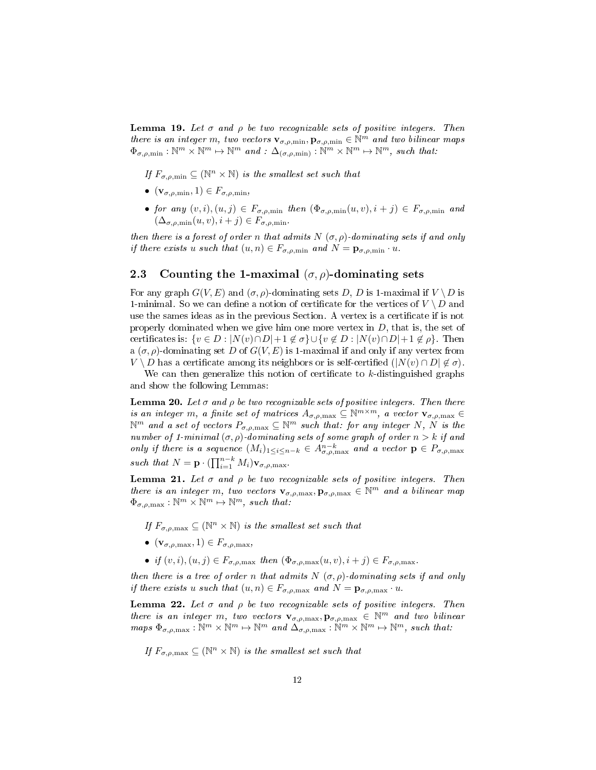<span id="page-11-2"></span>**Lemma 19.** Let  $\sigma$  and  $\rho$  be two recognizable sets of positive integers. Then there is an integer m, two vectors  $\mathbf{v}_{\sigma,\rho,\min}, \mathbf{p}_{\sigma,\rho,\min} \in \mathbb{N}^m$  and two bilinear maps  $\Phi_{\sigma,\rho,\min}: \mathbb{N}^m \times \mathbb{N}^m \mapsto \mathbb{N}^m$  and :  $\Delta_{(\sigma,\rho,\min)}^{\qquad \quad \quad \quad \quad \quad \quad \quad \mathbb{N}^m \times \mathbb{N}^m \mapsto \mathbb{N}^m$ , such that:

If  $F_{\sigma,\rho,\min} \subseteq (\mathbb{N}^n \times \mathbb{N})$  is the smallest set such that

- $\bullet \ (\mathbf{v}_{\sigma,\rho,\min},1) \in F_{\sigma,\rho,\min},$
- for any  $(v, i), (u, j) \in F_{\sigma, \rho, \min}$  then  $(\Phi_{\sigma, \rho, \min}(u, v), i + j) \in F_{\sigma, \rho, \min}$  and  $(\Delta_{\sigma,\rho,\min}(u,v), i+j) \in F_{\sigma,\rho,\min}$ .

then there is a forest of order n that admits  $N(\sigma, \rho)$ -dominating sets if and only if there exists u such that  $(u, n) \in F_{\sigma, \rho, \min}$  and  $N = \mathbf{p}_{\sigma, \rho, \min} \cdot u$ .

### 2.3 Counting the 1-maximal  $(\sigma, \rho)$ -dominating sets

For any graph  $G(V, E)$  and  $(\sigma, \rho)$ -dominating sets D, D is 1-maximal if  $V \setminus D$  is 1-minimal. So we can define a notion of certificate for the vertices of  $V \setminus D$  and use the sames ideas as in the previous Section. A vertex is a certificate if is not properly dominated when we give him one more vertex in  $D$ , that is, the set of certificates is:  $\{v \in D : |N(v) \cap D| + 1 \notin \sigma\} \cup \{v \notin D : |N(v) \cap D| + 1 \notin \rho\}$ . Then a  $(\sigma, \rho)$ -dominating set D of  $G(V, E)$  is 1-maximal if and only if any vertex from  $V \setminus D$  has a certificate among its neighbors or is self-certified  $(|N(v) \cap D| \notin \sigma)$ .

We can then generalize this notion of certificate to  $k$ -distinguished graphs and show the following Lemmas:

<span id="page-11-0"></span>**Lemma 20.** Let  $\sigma$  and  $\rho$  be two recognizable sets of positive integers. Then there is an integer m, a finite set of matrices  $A_{\sigma,\rho,\text{max}} \subseteq \mathbb{N}^{m \times m}$ , a vector  $\mathbf{v}_{\sigma,\rho,\text{max}} \in$  $\mathbb{N}^m$  and a set of vectors  $P_{\sigma,\rho,\text{max}}\subseteq\mathbb{N}^m$  such that: for any integer N,  $N$  is the number of 1-minimal  $(\sigma, \rho)$ -dominating sets of some graph of order  $n > k$  if and only if there is a sequence  $(M_i)_{1\leq i\leq n-k} \in A^{n-k}_{\sigma,\rho,\text{max}}$  and a vector  $\mathbf{p} \in P_{\sigma,\rho,\text{max}}$ such that  $N = \mathbf{p} \cdot (\prod_{i=1}^{n-k} M_i) \mathbf{v}_{\sigma,\rho,\text{max}}$ .

<span id="page-11-1"></span>**Lemma 21.** Let  $\sigma$  and  $\rho$  be two recognizable sets of positive integers. Then there is an integer m, two vectors  $\mathbf{v}_{\sigma,\rho,\text{max}}$ ,  $\mathbf{p}_{\sigma,\rho,\text{max}} \in \mathbb{N}^m$  and a bilinear map  $\Phi_{\sigma,\rho,\text{max}} : \mathbb{N}^m \times \mathbb{N}^m \mapsto \mathbb{N}^m$ , such that:

If  $F_{\sigma,\rho,\text{max}} \subseteq (\mathbb{N}^n \times \mathbb{N})$  is the smallest set such that

- $(\mathbf{v}_{\sigma,\rho,\max},1) \in F_{\sigma,\rho,\max},$
- if  $(v, i), (u, j) \in F_{\sigma, \rho, \max}$  then  $(\Phi_{\sigma, \rho, \max}(u, v), i + j) \in F_{\sigma, \rho, \max}$ .

then there is a tree of order n that admits  $N(\sigma, \rho)$ -dominating sets if and only if there exists u such that  $(u, n) \in F_{\sigma, \rho, \max}$  and  $N = \mathbf{p}_{\sigma, \rho, \max} \cdot u$ .

<span id="page-11-3"></span>**Lemma 22.** Let  $\sigma$  and  $\rho$  be two recognizable sets of positive integers. Then there is an integer m, two vectors  $\mathbf{v}_{\sigma,\rho,\text{max}}$ ,  $\mathbf{p}_{\sigma,\rho,\text{max}} \in \mathbb{N}^m$  and two bilinear  $maps \ \Phi_{\sigma,\rho,\max} : \mathbb{N}^m \times \mathbb{N}^m \mapsto \mathbb{N}^m \ and \ \Delta_{\sigma,\rho,\max} : \widetilde{\mathbb{N}}^m \times \mathbb{N}^m \mapsto \mathbb{N}^m, \ such \ that:$ 

If  $F_{\sigma,\rho,\text{max}} \subseteq (\mathbb{N}^n \times \mathbb{N})$  is the smallest set such that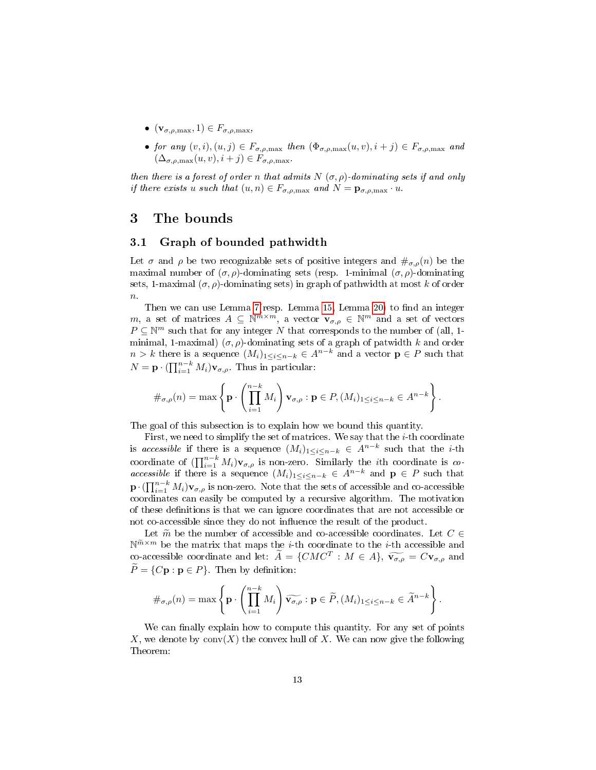- $(\mathbf{v}_{\sigma,\rho,\text{max}},1) \in F_{\sigma,\rho,\text{max}},$
- for any  $(v, i), (u, j) \in F_{\sigma, \rho, \max}$  then  $(\Phi_{\sigma, \rho, \max}(u, v), i + j) \in F_{\sigma, \rho, \max}$  and  $(\Delta_{\sigma.\rho.\text{max}}(u, v), i + j) \in F_{\sigma.\rho.\text{max}}$ .

then there is a forest of order n that admits  $N(\sigma, \rho)$ -dominating sets if and only if there exists u such that  $(u, n) \in F_{\sigma, \rho, \max}$  and  $N = \mathbf{p}_{\sigma, \rho, \max} \cdot u$ .

# <span id="page-12-0"></span>3 The bounds

### 3.1 Graph of bounded pathwidth

Let  $\sigma$  and  $\rho$  be two recognizable sets of positive integers and  $\#_{\sigma,\rho}(n)$  be the maximal number of  $(\sigma, \rho)$ -dominating sets (resp. 1-minimal  $(\sigma, \rho)$ -dominating sets, 1-maximal  $(\sigma, \rho)$ -dominating sets) in graph of pathwidth at most k of order  $\overline{n}$ .

Then we can use Lemma [7\(](#page-6-0)resp. Lemma [15,](#page-10-0) Lemma [20\)](#page-11-0) to find an integer m, a set of matrices  $A \subseteq \mathbb{N}^{m \times m}$ , a vector  $\mathbf{v}_{\sigma,\rho} \in \mathbb{N}^m$  and a set of vectors  $P \subseteq \mathbb{N}^m$  such that for any integer N that corresponds to the number of (all, 1minimal, 1-maximal)  $(\sigma, \rho)$ -dominating sets of a graph of patwidth k and order  $n > k$  there is a sequence  $(M_i)_{1 \leq i \leq n-k} \in A^{n-k}$  and a vector  $p \in P$  such that  $N = \mathbf{p} \cdot (\prod_{i=1}^{n-k} M_i) \mathbf{v}_{\sigma,\rho}$ . Thus in particular:

$$
\#_{\sigma,\rho}(n)=\max\left\{\mathbf{p}\cdot\left(\prod_{i=1}^{n-k}M_i\right)\mathbf{v}_{\sigma,\rho}:\mathbf{p}\in P,(M_i)_{1\leq i\leq n-k}\in A^{n-k}\right\}.
$$

The goal of this subsection is to explain how we bound this quantity.

First, we need to simplify the set of matrices. We say that the  $i$ -th coordinate is accessible if there is a sequence  $(M_i)_{1 \leq i \leq n-k} \in A^{n-k}$  such that the *i*-th coordinate of  $\left(\prod_{i=1}^{n-k} M_i\right) v_{\sigma,\rho}$  is non-zero. Similarly the *i*th coordinate is coaccessible if there is a sequence  $(M_i)_{1\leq i\leq n-k} \in A^{n-k}$  and  $\mathbf{p} \in P$  such that  $\mathbf{p} \cdot (\prod_{i=1}^{n-k} M_i) \mathbf{v}_{\sigma,\rho}$  is non-zero. Note that the sets of accessible and co-accessible coordinates can easily be computed by a recursive algorithm. The motivation of these denitions is that we can ignore coordinates that are not accessible or not co-accessible since they do not influence the result of the product.

Let  $\widetilde{m}$  be the number of accessible and co-accessible coordinates. Let  $C \in$  $\mathbb{N}^{\widetilde{m}\times m}$  be the matrix that maps the *i*-th coordinate to the *i*-th accessible and co-accessible coordinate and let:  $\tilde{A} = \{CMC^T : M \in A\}, \ \widetilde{\mathbf{v}_{\sigma,\rho}} = C\mathbf{v}_{\sigma,\rho}$  and  $\widetilde{P} = \{C\mathbf{p} : \mathbf{p} \in P\}$ . Then by definition:

$$
\#_{\sigma,\rho}(n)=\max\left\{\mathbf{p}\cdot\left(\prod_{i=1}^{n-k}M_i\right)\widetilde{\mathbf{v}_{\sigma,\rho}}:\mathbf{p}\in\widetilde{P},(M_i)_{1\leq i\leq n-k}\in\widetilde{A}^{n-k}\right\}.
$$

We can finally explain how to compute this quantity. For any set of points X, we denote by  $conv(X)$  the convex hull of X. We can now give the following Theorem: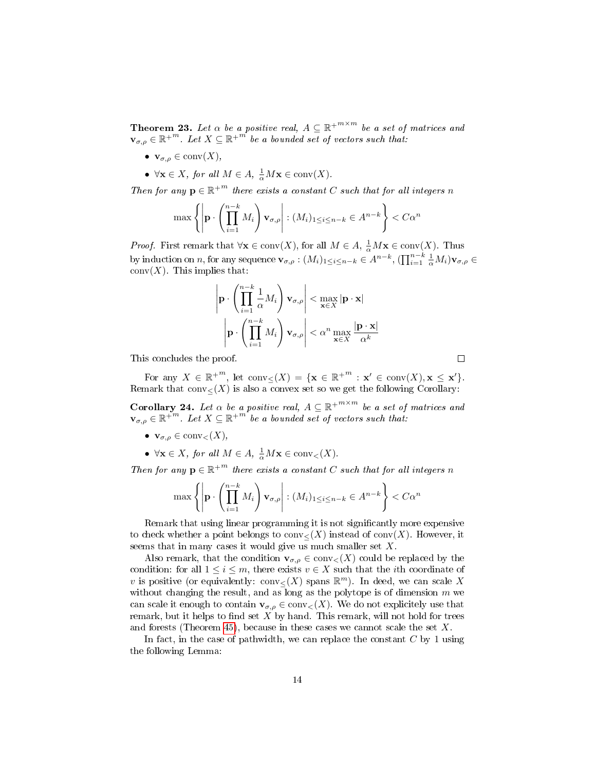<span id="page-13-1"></span>**Theorem 23.** Let  $\alpha$  be a positive real,  $A \subseteq \mathbb{R}^{+^{m \times m}}$  be a set of matrices and  $\mathbf{v}_{\sigma,\rho} \in \mathbb{R}^{+^m}$ . Let  $X \subseteq \mathbb{R}^{+^m}$  be a bounded set of vectors such that:

- $\mathbf{v}_{\sigma,\rho} \in \text{conv}(X),$
- $\forall \mathbf{x} \in X$ , for all  $M \in A$ ,  $\frac{1}{\alpha} M \mathbf{x} \in \text{conv}(X)$ .

Then for any  $\mathbf{p} \in \mathbb{R}^{+m}$  there exists a constant C such that for all integers n

$$
\max\left\{\left|\mathbf{p}\cdot\left(\prod_{i=1}^{n-k}M_i\right)\mathbf{v}_{\sigma,\rho}\right|:(M_i)_{1\leq i\leq n-k}\in A^{n-k}\right\}
$$

*Proof.* First remark that  $\forall x \in \text{conv}(X)$ , for all  $M \in A$ ,  $\frac{1}{\alpha} Mx \in \text{conv}(X)$ . Thus by induction on n, for any sequence  $\mathbf{v}_{\sigma,p} : (M_i)_{1 \leq i \leq n-k} \in A^{n-k}, (\prod_{i=1}^{n-k} \frac{1}{\alpha} M_i) \mathbf{v}_{\sigma,p} \in$  $conv(X)$ . This implies that:

$$
\left| \mathbf{p} \cdot \left( \prod_{i=1}^{n-k} \frac{1}{\alpha} M_i \right) \mathbf{v}_{\sigma,\rho} \right| < \max_{\mathbf{x} \in X} |\mathbf{p} \cdot \mathbf{x}|
$$
\n
$$
\left| \mathbf{p} \cdot \left( \prod_{i=1}^{n-k} M_i \right) \mathbf{v}_{\sigma,\rho} \right| < \alpha^n \max_{\mathbf{x} \in X} \frac{|\mathbf{p} \cdot \mathbf{x}|}{\alpha^k}
$$

This concludes the proof.

For any  $X \in \mathbb{R}^{+m}$ , let  $\text{conv}_{\leq}(X) = \{ \mathbf{x} \in \mathbb{R}^{+m} : \mathbf{x}' \in \text{conv}(X), \mathbf{x} \leq \mathbf{x}' \}.$ Remark that  $conv_{\leq}(X)$  is also a convex set so we get the following Corollary:

<span id="page-13-0"></span>**Corollary 24.** Let  $\alpha$  be a positive real,  $A \subseteq \mathbb{R}^{+\frac{m \times m}{m}}$  be a set of matrices and  $\mathbf{v}_{\sigma,\rho} \in \mathbb{R}^{+^m}$ . Let  $X \subseteq \mathbb{R}^{+^m}$  be a bounded set of vectors such that:

- $\mathbf{v}_{\sigma,\rho} \in \text{conv}_{\leq}(X),$
- $\forall \mathbf{x} \in X$ , for all  $M \in A$ ,  $\frac{1}{\alpha} M \mathbf{x} \in \text{conv}_{<}(X)$ .

Then for any  $\mathbf{p} \in \mathbb{R}^{+m}$  there exists a constant C such that for all integers n

$$
\max\left\{\left|\mathbf{p}\cdot\left(\prod_{i=1}^{n-k}M_i\right)\mathbf{v}_{\sigma,\rho}\right|:(M_i)_{1\leq i\leq n-k}\in A^{n-k}\right\}
$$

Remark that using linear programming it is not signicantly more expensive to check whether a point belongs to  $conv<sub>(X)</sub>$  instead of  $conv(X)$ . However, it seems that in many cases it would give us much smaller set  $X$ .

Also remark, that the condition  $\mathbf{v}_{\sigma,\rho} \in \text{conv}_{\leq}(X)$  could be replaced by the condition: for all  $1 \leq i \leq m$ , there exists  $v \in X$  such that the *i*th coordinate of v is positive (or equivalently:  $conv \leq (X)$  spans  $\mathbb{R}^m$ ). In deed, we can scale X without changing the result, and as long as the polytope is of dimension  $m$  we can scale it enough to contain  $\mathbf{v}_{\sigma,\rho} \in \text{conv}_{\leq}(X)$ . We do not explicitely use that remark, but it helps to find set  $X$  by hand. This remark, will not hold for trees and forests (Theorem [45\)](#page-26-0), because in these cases we cannot scale the set  $X$ .

In fact, in the case of pathwidth, we can replace the constant  $C$  by 1 using the following Lemma:

 $\Box$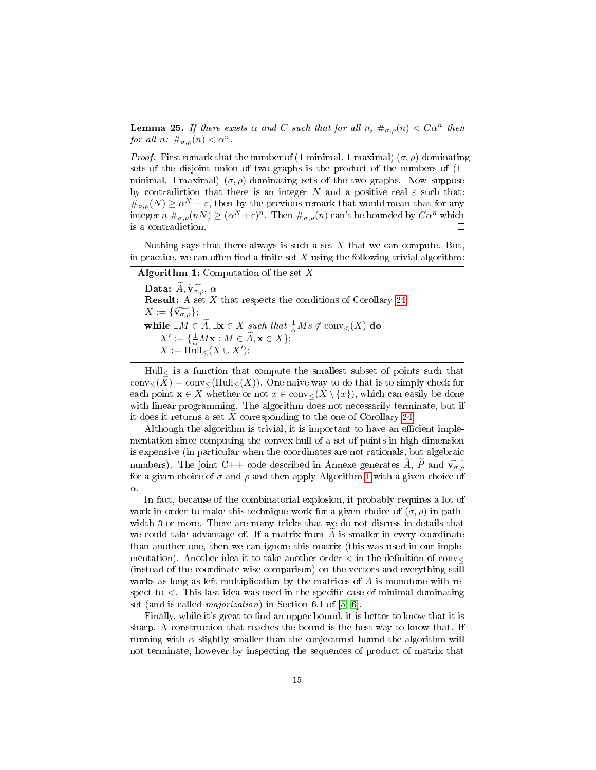<span id="page-14-1"></span>**Lemma 25.** If there exists  $\alpha$  and C such that for all  $n, \#_{\sigma,\rho}(n) < C\alpha^n$  then for all  $n: \#_{\sigma,\rho}(n) < \alpha^n$ .

*Proof.* First remark that the number of (1-minimal, 1-maximal)  $(\sigma, \rho)$ -dominating sets of the disjoint union of two graphs is the product of the numbers of (1 minimal, 1-maximal)  $(\sigma, \rho)$ -dominating sets of the two graphs. Now suppose by contradiction that there is an integer N and a positive real  $\varepsilon$  such that:  $\#_{\sigma,\rho}(N) \ge \alpha^N + \varepsilon$ , then by the previous remark that would mean that for any integer  $n \#_{\sigma,\rho}(n) \geq (\alpha^N + \varepsilon)^n$ . Then  $\#_{\sigma,\rho}(n)$  can't be bounded by  $C\alpha^n$  which is a contradiction.  $\Box$ 

Nothing says that there always is such a set  $X$  that we can compute. But, in practice, we can often find a finite set  $X$  using the following trivial algorithm:

<span id="page-14-0"></span>

| <b>Algorithm 1:</b> Computation of the set X                                                                                                                                               |
|--------------------------------------------------------------------------------------------------------------------------------------------------------------------------------------------|
| Data: $\widetilde{A}, \widetilde{v_{\sigma,\rho}}, \alpha$                                                                                                                                 |
| <b>Result:</b> A set $X$ that respects the conditions of Corollary 24                                                                                                                      |
| $X := {\widetilde{\nabla_{\sigma,\rho}}}$ ;<br>while $\exists M \in \widetilde{A}, \exists \mathbf{x} \in X \text{ such that } \frac{1}{\alpha}Ms \notin \text{conv}_{\leq}(X) \text{ do}$ |
|                                                                                                                                                                                            |
| $\begin{array}{ll} X':=\{\frac{1}{\alpha}M\mathbf{x}:M\in\widetilde{A},\mathbf{x}\in X\};\\ X:=\operatorname{Hull}_{\leq}(X\cup X'); \end{array}$                                          |
|                                                                                                                                                                                            |

Hull<sup>≤</sup> is a function that compute the smallest subset of points such that  $conv<(X) = conv<(Hull,(X))$ . One naive way to do that is to simply check for each point  $\mathbf{x} \in X$  whether or not  $x \in \text{conv}_{\leq}(X \setminus \{x\})$ , which can easily be done with linear programming. The algorithm does not necessarily terminate, but if it does it returns a set  $X$  corresponding to the one of Corollary [24.](#page-13-0)

Although the algorithm is trivial, it is important to have an efficient implementation since computing the convex hull of a set of points in high dimension is expensive (in particular when the coordinates are not rationals, but algebraic numbers). The joint C++ code described in Annexe generates  $\widetilde{A}$ ,  $\widetilde{P}$  and  $\widetilde{\mathbf{v}_{\sigma,\rho}}$ for a given choice of  $\sigma$  and  $\rho$  and then apply Algorithm [1](#page-14-0) with a given choice of α.

In fact, because of the combinatorial explosion, it probably requires a lot of work in order to make this technique work for a given choice of  $(\sigma, \rho)$  in pathwidth 3 or more. There are many tricks that we do not discuss in details that we could take advantage of. If a matrix from  $A$  is smaller in every coordinate than another one, then we can ignore this matrix (this was used in our implementation). Another idea it to take another order  $\lt$  in the definition of conv $\lt$ (instead of the coordinate-wise comparison) on the vectors and everything still works as long as left multiplication by the matrices of  $A$  is monotone with respect to  $\lt$ . This last idea was used in the specific case of minimal dominating set (and is called majorization) in Section 6.1 of [\[5,](#page-32-3) [6\]](#page-32-4).

Finally, while it's great to find an upper bound, it is better to know that it is sharp. A construction that reaches the bound is the best way to know that. If running with  $\alpha$  slightly smaller than the conjectured bound the algorithm will not terminate, however by inspecting the sequences of product of matrix that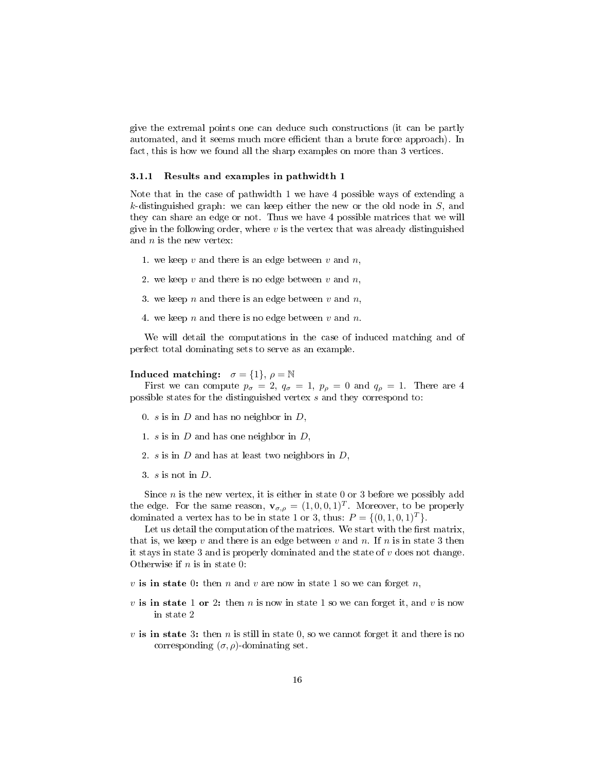give the extremal points one can deduce such constructions (it can be partly automated, and it seems much more efficient than a brute force approach). In fact, this is how we found all the sharp examples on more than 3 vertices.

#### <span id="page-15-0"></span>3.1.1 Results and examples in pathwidth 1

Note that in the case of pathwidth 1 we have 4 possible ways of extending a k-distinguished graph: we can keep either the new or the old node in  $S$ , and they can share an edge or not. Thus we have 4 possible matrices that we will give in the following order, where  $v$  is the vertex that was already distinguished and  $n$  is the new vertex:

- 1. we keep  $v$  and there is an edge between  $v$  and  $n$ ,
- 2. we keep  $v$  and there is no edge between  $v$  and  $n$ ,
- 3. we keep  $n$  and there is an edge between  $v$  and  $n$ ,
- 4. we keep n and there is no edge between v and n.

We will detail the computations in the case of induced matching and of perfect total dominating sets to serve as an example.

#### Induced matching:  $\sigma = \{1\}, \rho = \mathbb{N}$

First we can compute  $p_{\sigma} = 2$ ,  $q_{\sigma} = 1$ ,  $p_{\rho} = 0$  and  $q_{\rho} = 1$ . There are 4 possible states for the distinguished vertex s and they correspond to:

- 0. s is in  $D$  and has no neighbor in  $D$ ,
- 1. s is in  $D$  and has one neighbor in  $D$ ,
- 2. s is in  $D$  and has at least two neighbors in  $D$ ,
- 3.  $s$  is not in  $D$ .

Since  $n$  is the new vertex, it is either in state 0 or 3 before we possibly add the edge. For the same reason,  $\mathbf{v}_{\sigma,\rho} = (1,0,0,1)^T$ . Moreover, to be properly dominated a vertex has to be in state 1 or 3, thus:  $P = \{(0, 1, 0, 1)^T\}.$ 

Let us detail the computation of the matrices. We start with the first matrix, that is, we keep  $v$  and there is an edge between  $v$  and  $n$ . If  $n$  is in state 3 then it stays in state 3 and is properly dominated and the state of  $v$  does not change. Otherwise if  $n$  is in state 0:

- v is in state 0: then n and v are now in state 1 so we can forget n,
- v is in state 1 or 2: then n is now in state 1 so we can forget it, and v is now in state 2
- $v$  is in state 3: then  $n$  is still in state 0, so we cannot forget it and there is no corresponding  $(\sigma, \rho)$ -dominating set.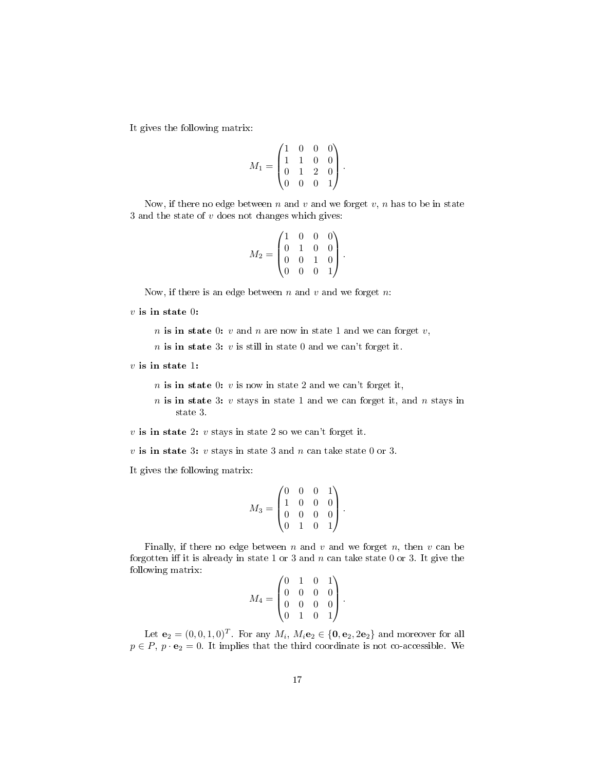It gives the following matrix:

$$
M_1 = \begin{pmatrix} 1 & 0 & 0 & 0 \\ 1 & 1 & 0 & 0 \\ 0 & 1 & 2 & 0 \\ 0 & 0 & 0 & 1 \end{pmatrix}.
$$

Now, if there no edge between n and v and we forget v, n has to be in state 3 and the state of  $v$  does not changes which gives:

$$
M_2 = \begin{pmatrix} 1 & 0 & 0 & 0 \\ 0 & 1 & 0 & 0 \\ 0 & 0 & 1 & 0 \\ 0 & 0 & 0 & 1 \end{pmatrix}.
$$

Now, if there is an edge between  $n$  and  $v$  and we forget  $n$ :

 $v$  is in state 0:

n is in state 0:  $v$  and  $n$  are now in state 1 and we can forget  $v$ ,

 $n$  is in state 3:  $v$  is still in state 0 and we can't forget it.

 $v$  is in state 1:

- $n$  is in state 0:  $v$  is now in state 2 and we can't forget it,
- $n$  is in state 3:  $v$  stays in state 1 and we can forget it, and  $n$  stays in state 3.

 $v$  is in state 2:  $v$  stays in state 2 so we can't forget it.

 $v$  is in state 3:  $v$  stays in state 3 and  $n$  can take state 0 or 3.

It gives the following matrix:

$$
M_3 = \begin{pmatrix} 0 & 0 & 0 & 1 \\ 1 & 0 & 0 & 0 \\ 0 & 0 & 0 & 0 \\ 0 & 1 & 0 & 1 \end{pmatrix}.
$$

Finally, if there no edge between n and v and we forget n, then v can be forgotten iff it is already in state 1 or 3 and  $n$  can take state 0 or 3. It give the following matrix:

$$
M_4 = \begin{pmatrix} 0 & 1 & 0 & 1 \\ 0 & 0 & 0 & 0 \\ 0 & 0 & 0 & 0 \\ 0 & 1 & 0 & 1 \end{pmatrix}.
$$

Let  $\mathbf{e}_2 = (0, 0, 1, 0)^T$ . For any  $M_i$ ,  $M_i \mathbf{e}_2 \in \{\mathbf{0}, \mathbf{e}_2, 2\mathbf{e}_2\}$  and moreover for all  $p \in P$ ,  $p \cdot \mathbf{e}_2 = 0$ . It implies that the third coordinate is not co-accessible. We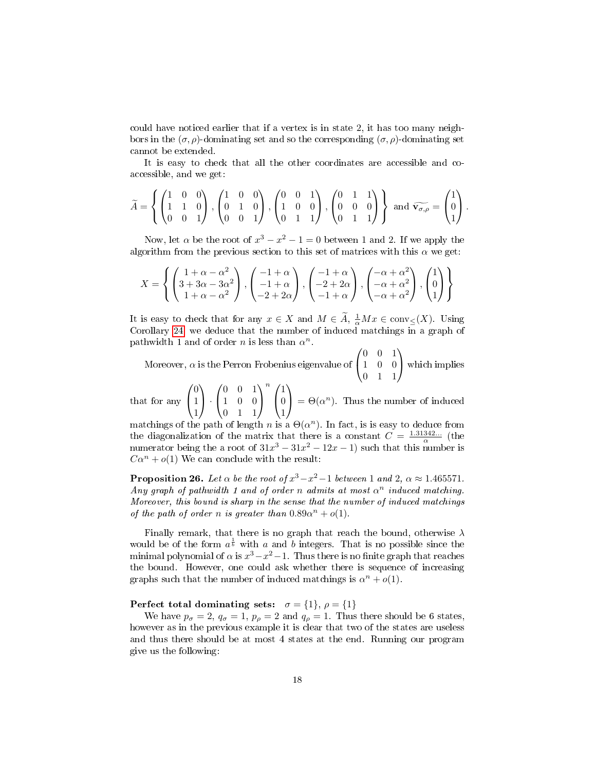could have noticed earlier that if a vertex is in state 2, it has too many neighbors in the  $(\sigma, \rho)$ -dominating set and so the corresponding  $(\sigma, \rho)$ -dominating set cannot be extended.

It is easy to check that all the other coordinates are accessible and coaccessible, and we get:

$$
\widetilde{A} = \left\{ \begin{pmatrix} 1 & 0 & 0 \\ 1 & 1 & 0 \\ 0 & 0 & 1 \end{pmatrix}, \begin{pmatrix} 1 & 0 & 0 \\ 0 & 1 & 0 \\ 0 & 0 & 1 \end{pmatrix}, \begin{pmatrix} 0 & 0 & 1 \\ 1 & 0 & 0 \\ 0 & 1 & 1 \end{pmatrix}, \begin{pmatrix} 0 & 1 & 1 \\ 0 & 0 & 0 \\ 0 & 1 & 1 \end{pmatrix} \right\} \text{ and } \widetilde{\mathbf{v}_{\sigma,\rho}} = \begin{pmatrix} 1 \\ 0 \\ 1 \end{pmatrix}.
$$

Now, let  $\alpha$  be the root of  $x^3 - x^2 - 1 = 0$  between 1 and 2. If we apply the algorithm from the previous section to this set of matrices with this  $\alpha$  we get:

$$
X = \left\{ \begin{pmatrix} 1+\alpha-\alpha^2 \\ 3+3\alpha-3\alpha^2 \\ 1+\alpha-\alpha^2 \end{pmatrix}, \begin{pmatrix} -1+\alpha \\ -1+\alpha \\ -2+2\alpha \end{pmatrix}, \begin{pmatrix} -1+\alpha \\ -2+2\alpha \\ -1+\alpha \end{pmatrix}, \begin{pmatrix} -\alpha+\alpha^2 \\ -\alpha+\alpha^2 \\ -\alpha+\alpha^2 \end{pmatrix}, \begin{pmatrix} 1 \\ 0 \\ 1 \end{pmatrix} \right\}
$$

It is easy to check that for any  $x \in X$  and  $M \in \widetilde{A}$ ,  $\frac{1}{\alpha} Mx \in \text{conv}_{\leq}(X)$ . Using Corollary [24,](#page-13-0) we deduce that the number of induced matchings in a graph of pathwidth 1 and of order *n* is less than  $\alpha^n$ .

Moreover, 
$$
\alpha
$$
 is the Perron Frobenius eigenvalue of  $\begin{pmatrix} 0 & 0 & 1 \\ 1 & 0 & 0 \\ 0 & 1 & 1 \end{pmatrix}$  which implies

that for any  $\sqrt{ }$  $\mathcal{L}$ 0 1 1  $\setminus$  $\vert \cdot$  $\sqrt{ }$  $\mathcal{L}$ 0 0 1 1 0 0 0 1 1  $\setminus$  $\perp$  $\binom{n}{k}$  $\mathcal{L}$ 1  $\overline{0}$ 1  $\setminus$  $\Theta(\alpha^n)$ . Thus the number of induced

matchings of the path of length n is a  $\Theta(\alpha^n)$ . In fact, is is easy to deduce from the diagonalization of the matrix that there is a constant  $C = \frac{1.31342...}{\alpha}$  (the numerator being the a root of  $31x^3 - 31x^2 - 12x - 1$  such that this number is  $C\alpha^{n} + o(1)$  We can conclude with the result:

<span id="page-17-0"></span>**Proposition 26.** Let  $\alpha$  be the root of  $x^3 - x^2 - 1$  between 1 and 2,  $\alpha \approx 1.465571$ . Any graph of pathwidth 1 and of order n admits at most  $\alpha^n$  induced matching. Moreover, this bound is sharp in the sense that the number of induced matchings of the path of order n is greater than  $0.89\alpha^{n} + o(1)$ .

Finally remark, that there is no graph that reach the bound, otherwise  $\lambda$ would be of the form  $a^{\frac{1}{b}}$  with a and b integers. That is no possible since the minimal polynomial of  $\alpha$  is  $x^3 - x^2 - 1$ . Thus there is no finite graph that reaches the bound. However, one could ask whether there is sequence of increasing graphs such that the number of induced matchings is  $\alpha^n + o(1)$ .

Perfect total dominating sets:  $\sigma = \{1\}, \rho = \{1\}$ 

We have  $p_{\sigma} = 2$ ,  $q_{\sigma} = 1$ ,  $p_{\rho} = 2$  and  $q_{\rho} = 1$ . Thus there should be 6 states, however as in the previous example it is clear that two of the states are useless and thus there should be at most 4 states at the end. Running our program give us the following: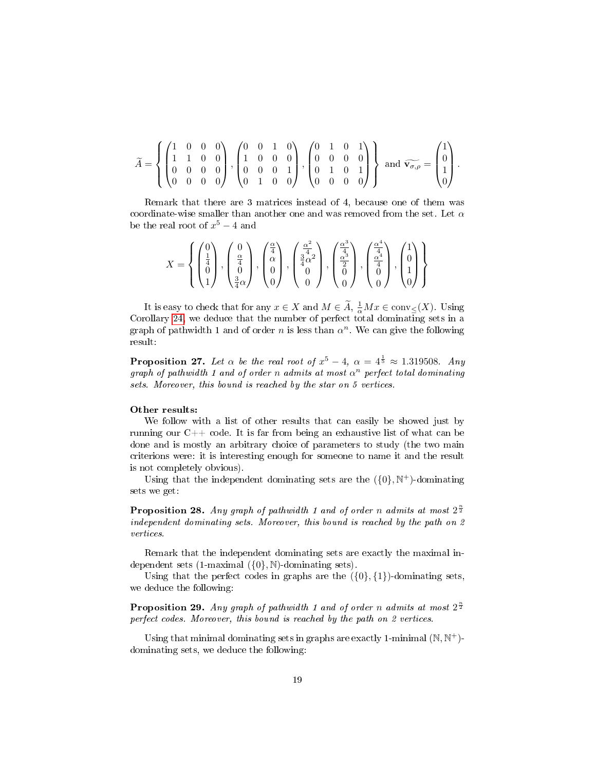$$
\widetilde{A} = \left\{ \begin{pmatrix} 1 & 0 & 0 & 0 \\ 1 & 1 & 0 & 0 \\ 0 & 0 & 0 & 0 \\ 0 & 0 & 0 & 0 \end{pmatrix}, \begin{pmatrix} 0 & 0 & 1 & 0 \\ 1 & 0 & 0 & 0 \\ 0 & 0 & 0 & 1 \\ 0 & 1 & 0 & 0 \end{pmatrix}, \begin{pmatrix} 0 & 1 & 0 & 1 \\ 0 & 0 & 0 & 0 \\ 0 & 1 & 0 & 1 \\ 0 & 0 & 0 & 0 \end{pmatrix} \right\} \text{ and } \widetilde{\mathbf{v}_{\sigma,\rho}} = \begin{pmatrix} 1 \\ 0 \\ 1 \\ 0 \end{pmatrix}.
$$

Remark that there are 3 matrices instead of 4, because one of them was coordinate-wise smaller than another one and was removed from the set. Let  $\alpha$ be the real root of  $x^5 - 4$  and

$$
X = \left\{ \begin{pmatrix} 0 \\ \frac{1}{4} \\ 0 \\ 1 \end{pmatrix}, \begin{pmatrix} 0 \\ \frac{\alpha}{4} \\ 0 \\ \frac{3}{4} \alpha \end{pmatrix}, \begin{pmatrix} \frac{\alpha}{4} \\ \alpha \\ 0 \\ 0 \end{pmatrix}, \begin{pmatrix} \frac{\alpha^2}{4} \\ \frac{3}{4} \alpha^2 \\ 0 \\ 0 \end{pmatrix}, \begin{pmatrix} \frac{\alpha^3}{4} \\ \frac{\alpha^3}{2} \\ 0 \\ 0 \end{pmatrix}, \begin{pmatrix} \frac{\alpha^4}{4} \\ \frac{\alpha^4}{4} \\ 0 \\ 0 \end{pmatrix}, \begin{pmatrix} 1 \\ 0 \\ 1 \\ 0 \\ 0 \end{pmatrix} \right\}
$$

It is easy to check that for any  $x \in X$  and  $M \in \widetilde{A}$ ,  $\frac{1}{\alpha} M x \in \text{conv}_{\leq}(X)$ . Using Corollary [24,](#page-13-0) we deduce that the number of perfect total dominating sets in a graph of pathwidth 1 and of order n is less than  $\alpha^n$ . We can give the following result:

**Proposition 27.** Let  $\alpha$  be the real root of  $x^5 - 4$ ,  $\alpha = 4^{\frac{1}{5}} \approx 1.319508$ . Any graph of pathwidth 1 and of order n admits at most  $\alpha^n$  perfect total dominating sets. Moreover, this bound is reached by the star on 5 vertices.

#### Other results:

We follow with a list of other results that can easily be showed just by running our  $C++$  code. It is far from being an exhaustive list of what can be done and is mostly an arbitrary choice of parameters to study (the two main criterions were: it is interesting enough for someone to name it and the result is not completely obvious).

Using that the independent dominating sets are the  $({0}, N^+)$ -dominating sets we get:

**Proposition 28.** Any graph of pathwidth 1 and of order n admits at most  $2^{\frac{n}{2}}$ independent dominating sets. Moreover, this bound is reached by the path on 2 vertices.

Remark that the independent dominating sets are exactly the maximal independent sets (1-maximal  $({0}, N)$ -dominating sets).

Using that the perfect codes in graphs are the  $({0}, {1})$ -dominating sets, we deduce the following:

**Proposition 29.** Any graph of pathwidth 1 and of order n admits at most  $2^{\frac{n}{2}}$ perfect codes. Moreover, this bound is reached by the path on 2 vertices.

Using that minimal dominating sets in graphs are exactly 1-minimal  $(N, N<sup>+</sup>)$ dominating sets, we deduce the following: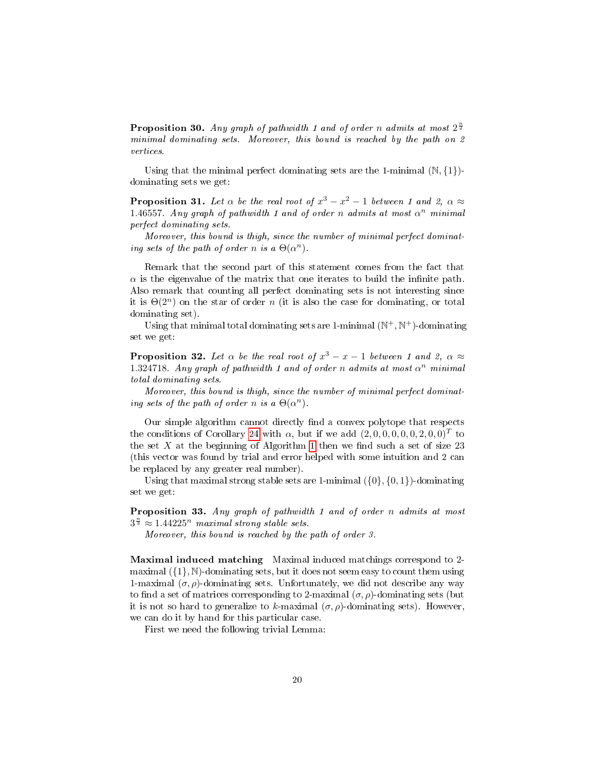**Proposition 30.** Any graph of pathwidth 1 and of order n admits at most  $2^{\frac{n}{2}}$ minimal dominating sets. Moreover, this bound is reached by the path on 2 vertices.

Using that the minimal perfect dominating sets are the 1-minimal  $(\mathbb{N}, \{1\})$ dominating sets we get:

**Proposition 31.** Let  $\alpha$  be the real root of  $x^3 - x^2 - 1$  between 1 and 2,  $\alpha \approx$ 1.46557. Any graph of pathwidth 1 and of order n admits at most  $\alpha^n$  minimal perfect dominating sets.

Moreover, this bound is thigh, since the number of minimal perfect dominating sets of the path of order n is a  $\Theta(\alpha^n)$ .

Remark that the second part of this statement comes from the fact that  $\alpha$  is the eigenvalue of the matrix that one iterates to build the infinite path. Also remark that counting all perfect dominating sets is not interesting since it is  $\Theta(2^n)$  on the star of order n (it is also the case for dominating, or total dominating set).

Using that minimal total dominating sets are 1-minimal  $(\mathbb{N}^+, \mathbb{N}^+)$ -dominating set we get:

**Proposition 32.** Let  $\alpha$  be the real root of  $x^3 - x - 1$  between 1 and 2,  $\alpha \approx$ 1.324718. Any graph of pathwidth 1 and of order n admits at most  $\alpha^n$  minimal total dominating sets.

Moreover, this bound is thigh, since the number of minimal perfect dominating sets of the path of order n is a  $\Theta(\alpha^n)$ .

Our simple algorithm cannot directly find a convex polytope that respects the conditions of Corollary [24](#page-13-0) with  $\alpha$ , but if we add  $(2,0,0,0,0,0,2,0,0)^T$  to the set X at the beginning of Algorithm [1](#page-14-0) then we find such a set of size  $23$ (this vector was found by trial and error helped with some intuition and 2 can be replaced by any greater real number).

Using that maximal strong stable sets are 1-minimal  $({0}, {0, 1})$ -dominating set we get:

Proposition 33. Any graph of pathwidth 1 and of order n admits at most  $3^{\frac{n}{3}} \approx 1.44225^n$  maximal strong stable sets.

Moreover, this bound is reached by the path of order 3.

Maximal induced matching Maximal induced matchings correspond to 2 maximal  $({1}, \mathbb{N})$ -dominating sets, but it does not seem easy to count them using 1-maximal  $(\sigma, \rho)$ -dominating sets. Unfortunately, we did not describe any way to find a set of matrices corresponding to 2-maximal  $(\sigma, \rho)$ -dominating sets (but it is not so hard to generalize to k-maximal  $(\sigma, \rho)$ -dominating sets). However, we can do it by hand for this particular case.

First we need the following trivial Lemma: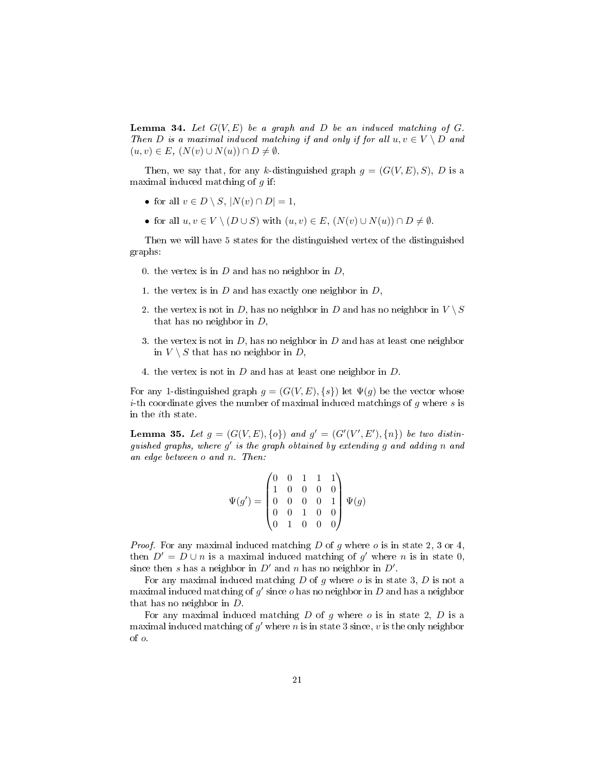**Lemma 34.** Let  $G(V, E)$  be a graph and D be an induced matching of G. Then D is a maximal induced matching if and only if for all  $u, v \in V \setminus D$  and  $(u, v) \in E$ ,  $(N(v) \cup N(u)) \cap D \neq \emptyset$ .

Then, we say that, for any k-distinguished graph  $g = (G(V, E), S)$ , D is a maximal induced matching of  $g$  if:

- for all  $v \in D \setminus S$ ,  $|N(v) \cap D| = 1$ ,
- for all  $u, v \in V \setminus (D \cup S)$  with  $(u, v) \in E$ ,  $(N(v) \cup N(u)) \cap D \neq \emptyset$ .

Then we will have 5 states for the distinguished vertex of the distinguished graphs:

- 0. the vertex is in  $D$  and has no neighbor in  $D$ ,
- 1. the vertex is in  $D$  and has exactly one neighbor in  $D$ ,
- 2. the vertex is not in D, has no neighbor in D and has no neighbor in  $V \setminus S$ that has no neighbor in  $D$ ,
- 3. the vertex is not in  $D$ , has no neighbor in  $D$  and has at least one neighbor in  $V \setminus S$  that has no neighbor in D,
- 4. the vertex is not in D and has at least one neighbor in D.

For any 1-distinguished graph  $g = (G(V, E), \{s\})$  let  $\Psi(g)$  be the vector whose *i*-th coordinate gives the number of maximal induced matchings of q where s is in the ith state.

**Lemma 35.** Let  $g = (G(V, E), \{o\})$  and  $g' = (G'(V', E'), \{n\})$  be two distinguished graphs, where  $g'$  is the graph obtained by extending  $g$  and adding n and an edge between o and n. Then:

$$
\Psi(g') = \begin{pmatrix} 0 & 0 & 1 & 1 & 1 \\ 1 & 0 & 0 & 0 & 0 \\ 0 & 0 & 0 & 0 & 1 \\ 0 & 0 & 1 & 0 & 0 \\ 0 & 1 & 0 & 0 & 0 \end{pmatrix} \Psi(g)
$$

*Proof.* For any maximal induced matching  $D$  of  $g$  where  $o$  is in state 2, 3 or 4, then  $D' = D \cup n$  is a maximal induced matching of g' where n is in state 0, since then s has a neighbor in  $D'$  and n has no neighbor in  $D'$ .

For any maximal induced matching  $D$  of  $q$  where  $o$  is in state 3,  $D$  is not a maximal induced matching of  $g'$  since  $o$  has no neighbor in  $D$  and has a neighbor that has no neighbor in D.

For any maximal induced matching  $D$  of  $g$  where  $o$  is in state 2,  $D$  is a maximal induced matching of  $g'$  where n is in state 3 since, v is the only neighbor of o.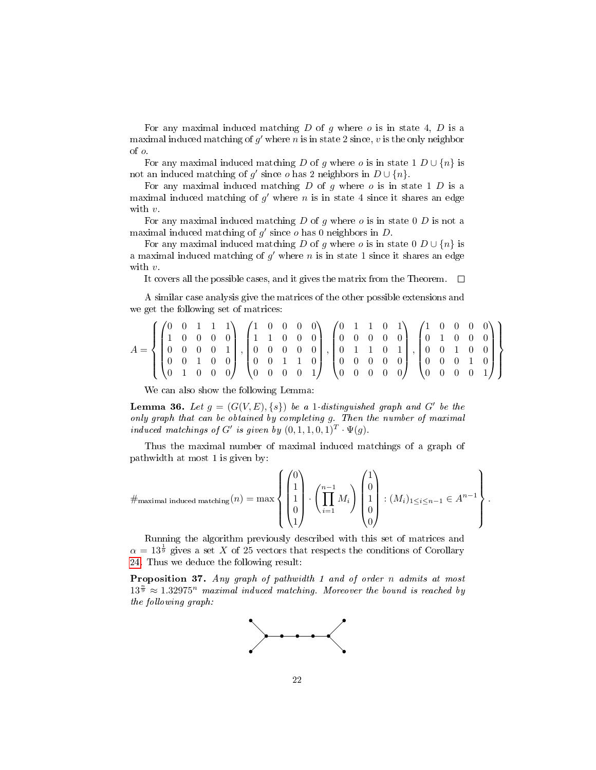For any maximal induced matching  $D$  of  $g$  where  $o$  is in state 4,  $D$  is a maximal induced matching of  $g'$  where n is in state 2 since, v is the only neighbor of o.

For any maximal induced matching D of g where o is in state  $1 D \cup \{n\}$  is not an induced matching of g' since o has 2 neighbors in  $D \cup \{n\}$ .

For any maximal induced matching  $D$  of  $g$  where  $o$  is in state 1  $D$  is a maximal induced matching of  $g'$  where n is in state 4 since it shares an edge with v.

For any maximal induced matching  $D$  of  $q$  where  $o$  is in state 0  $D$  is not a maximal induced matching of  $g'$  since  $o$  has 0 neighbors in  $D$ .

For any maximal induced matching D of g where o is in state  $0 D \cup \{n\}$  is a maximal induced matching of  $g'$  where n is in state 1 since it shares an edge with v.

It covers all the possible cases, and it gives the matrix from the Theorem.  $\Box$ 

A similar case analysis give the matrices of the other possible extensions and we get the following set of matrices:

$$
A = \left\{ \begin{pmatrix} 0 & 0 & 1 & 1 & 1 \\ 1 & 0 & 0 & 0 & 0 \\ 0 & 0 & 0 & 0 & 1 \\ 0 & 0 & 1 & 0 & 0 \\ 0 & 1 & 0 & 0 & 0 \end{pmatrix}, \begin{pmatrix} 1 & 0 & 0 & 0 & 0 \\ 1 & 1 & 0 & 0 & 0 \\ 0 & 0 & 0 & 0 & 0 \\ 0 & 0 & 1 & 1 & 0 \\ 0 & 0 & 0 & 0 & 1 \end{pmatrix}, \begin{pmatrix} 0 & 1 & 1 & 0 & 1 \\ 0 & 0 & 0 & 0 & 0 \\ 0 & 1 & 1 & 0 & 1 \\ 0 & 0 & 0 & 0 & 0 \\ 0 & 0 & 0 & 0 & 0 \end{pmatrix}, \begin{pmatrix} 1 & 0 & 0 & 0 & 0 \\ 0 & 1 & 0 & 0 & 0 \\ 0 & 0 & 1 & 0 & 0 \\ 0 & 0 & 0 & 1 & 0 \\ 0 & 0 & 0 & 0 & 1 \end{pmatrix} \right\}
$$

We can also show the following Lemma:

**Lemma 36.** Let  $g = (G(V, E), \{s\})$  be a 1-distinguished graph and G' be the only graph that can be obtained by completing g. Then the number of maximal induced matchings of G' is given by  $(0,1,1,0,1)^T \cdot \Psi(g)$ .

Thus the maximal number of maximal induced matchings of a graph of pathwidth at most 1 is given by:

$$
\#\text{maximal induced matching}(n) = \max \left\{ \begin{pmatrix} 0 \\ 1 \\ 1 \\ 0 \\ 1 \end{pmatrix} \cdot \left( \prod_{i=1}^{n-1} M_i \right) \begin{pmatrix} 1 \\ 0 \\ 1 \\ 0 \\ 0 \end{pmatrix} : (M_i)_{1 \leq i \leq n-1} \in A^{n-1} \right\}.
$$

Running the algorithm previously described with this set of matrices and  $\alpha = 13^{\frac{1}{9}}$  gives a set X of 25 vectors that respects the conditions of Corollary [24.](#page-13-0) Thus we deduce the following result:

Proposition 37. Any graph of pathwidth 1 and of order n admits at most  $13^{\frac{n}{9}} \approx 1.32975^n$  maximal induced matching. Moreover the bound is reached by the following graph:

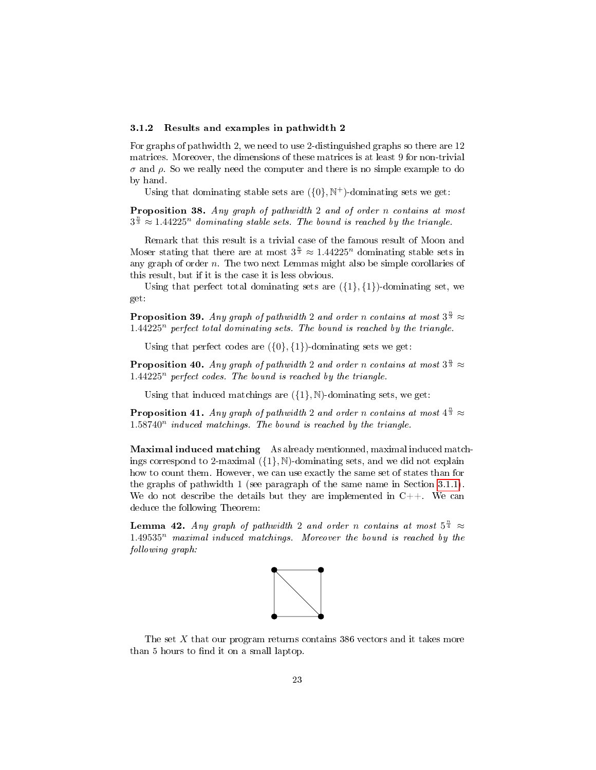#### 3.1.2 Results and examples in pathwidth 2

For graphs of pathwidth 2, we need to use 2-distinguished graphs so there are 12 matrices. Moreover, the dimensions of these matrices is at least 9 for non-trivial  $\sigma$  and  $\rho$ . So we really need the computer and there is no simple example to do by hand.

Using that dominating stable sets are  $({0}, \mathbb{N}^+)$ -dominating sets we get:

Proposition 38. Any graph of pathwidth 2 and of order n contains at most  $3^{\frac{n}{3}} \approx 1.44225^n$  dominating stable sets. The bound is reached by the triangle.

Remark that this result is a trivial case of the famous result of Moon and Moser stating that there are at most  $3^{\frac{n}{3}} \approx 1.44225^n$  dominating stable sets in any graph of order n. The two next Lemmas might also be simple corollaries of this result, but if it is the case it is less obvious.

Using that perfect total dominating sets are  $({1}, {1})$ -dominating set, we get:

**Proposition 39.** Any graph of pathwidth 2 and order n contains at most  $3^{\frac{n}{3}} \approx$  $1.44225<sup>n</sup>$  perfect total dominating sets. The bound is reached by the triangle.

Using that perfect codes are  $({0}, {1})$ -dominating sets we get:

**Proposition 40.** Any graph of pathwidth 2 and order n contains at most  $3^{\frac{n}{3}} \approx$  $1.44225<sup>n</sup>$  perfect codes. The bound is reached by the triangle.

Using that induced matchings are  $({1}, \mathbb{N})$ -dominating sets, we get:

**Proposition 41.** Any graph of pathwidth 2 and order n contains at most  $4^{\frac{n}{3}} \approx$  $1.58740<sup>n</sup>$  induced matchings. The bound is reached by the triangle.

Maximal induced matching As already mentionned, maximal induced matchings correspond to 2-maximal  $({1}, \mathbb{N})$ -dominating sets, and we did not explain how to count them. However, we can use exactly the same set of states than for the graphs of pathwidth 1 (see paragraph of the same name in Section [3.1.1\)](#page-15-0). We do not describe the details but they are implemented in  $C++$ . We can deduce the following Theorem:

**Lemma 42.** Any graph of pathwidth 2 and order n contains at most  $5^{\frac{n}{4}} \approx$  $1.49535<sup>n</sup>$  maximal induced matchings. Moreover the bound is reached by the following graph:



The set X that our program returns contains 386 vectors and it takes more than 5 hours to find it on a small laptop.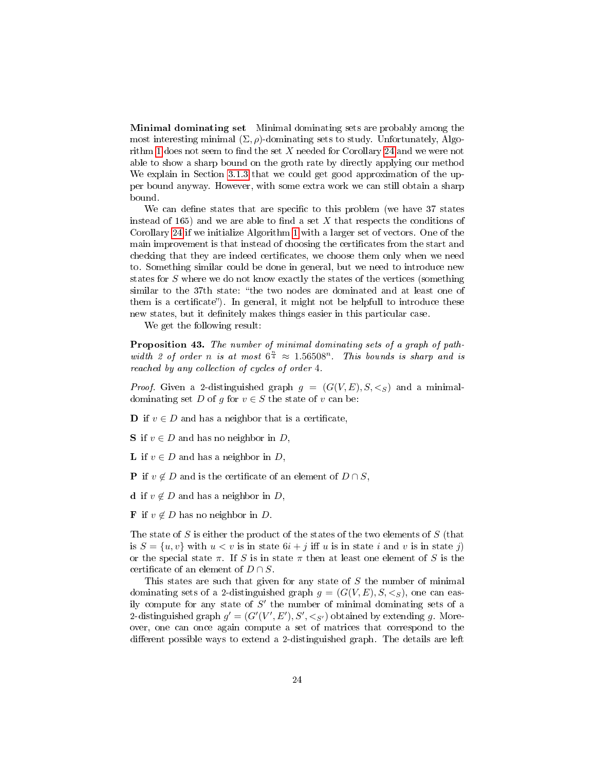Minimal dominating set Minimal dominating sets are probably among the most interesting minimal  $(\Sigma, \rho)$ -dominating sets to study. Unfortunately, Algo-rithm [1](#page-14-0) does not seem to find the set X needed for Corollary [24](#page-13-0) and we were not able to show a sharp bound on the groth rate by directly applying our method We explain in Section [3.1.3](#page-24-0) that we could get good approximation of the upper bound anyway. However, with some extra work we can still obtain a sharp bound.

We can define states that are specific to this problem (we have 37 states instead of 165) and we are able to find a set  $X$  that respects the conditions of Corollary [24](#page-13-0) if we initialize Algorithm [1](#page-14-0) with a larger set of vectors. One of the main improvement is that instead of choosing the certificates from the start and checking that they are indeed certificates, we choose them only when we need to. Something similar could be done in general, but we need to introduce new states for S where we do not know exactly the states of the vertices (something similar to the 37th state: "the two nodes are dominated and at least one of them is a certificate"). In general, it might not be helpfull to introduce these new states, but it definitely makes things easier in this particular case.

We get the following result:

Proposition 43. The number of minimal dominating sets of a graph of pathwidth 2 of order n is at most  $6^{\frac{n}{4}} \approx 1.56508^n$ . This bounds is sharp and is reached by any collection of cycles of order 4.

*Proof.* Given a 2-distinguished graph  $g = (G(V, E), S, \leq_S)$  and a minimaldominating set D of g for  $v \in S$  the state of v can be:

**D** if  $v \in D$  and has a neighbor that is a certificate,

- S if  $v \in D$  and has no neighbor in D,
- **L** if  $v \in D$  and has a neighbor in D,

**P** if  $v \notin D$  and is the certificate of an element of  $D \cap S$ ,

d if  $v \notin D$  and has a neighbor in D,

**F** if  $v \notin D$  has no neighbor in D.

The state of  $S$  is either the product of the states of the two elements of  $S$  (that is  $S = \{u, v\}$  with  $u < v$  is in state  $6i + j$  iff u is in state i and v is in state j) or the special state  $\pi$ . If S is in state  $\pi$  then at least one element of S is the certificate of an element of  $D \cap S$ .

This states are such that given for any state of S the number of minimal dominating sets of a 2-distinguished graph  $g = (G(V, E), S, \langle S \rangle)$ , one can easily compute for any state of  $S'$  the number of minimal dominating sets of a 2-distinguished graph  $g' = (G'(V', E'), S', \langle s \rangle)$  obtained by extending g. Moreover, one can once again compute a set of matrices that correspond to the different possible ways to extend a 2-distinguished graph. The details are left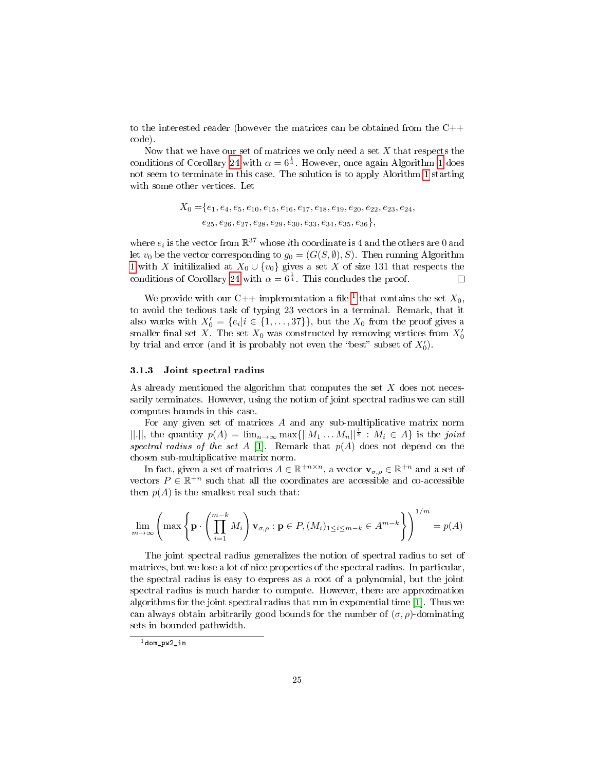to the interested reader (however the matrices can be obtained from the C++ code).

Now that we have our set of matrices we only need a set  $X$  that respects the conditions of Corollary [24](#page-13-0) with  $\alpha = 6^{\frac{1}{4}}$ . However, once again Algorithm [1](#page-14-0) does not seem to terminate in this case. The solution is to apply Alorithm [1](#page-14-0) starting with some other vertices. Let

> $X_0 = \{e_1, e_4, e_5, e_{10}, e_{15}, e_{16}, e_{17}, e_{18}, e_{19}, e_{20}, e_{22}, e_{23}, e_{24},$  $e_{25}, e_{26}, e_{27}, e_{28}, e_{29}, e_{30}, e_{33}, e_{34}, e_{35}, e_{36}$

where  $e_i$  is the vector from  $\mathbb{R}^{37}$  whose *i*th coordinate is 4 and the others are 0 and let  $v_0$  be the vector corresponding to  $g_0 = (G(S, \emptyset), S)$ . Then running Algorithm [1](#page-14-0) with X initilizalied at  $X_0 \cup \{v_0\}$  gives a set X of size 131 that respects the conditions of Corollary [24](#page-13-0) with  $\alpha = 6^{\frac{1}{4}}$ . This concludes the proof.

We provide with our C++ implementation a file <sup>[1](#page-24-1)</sup> that contains the set  $X_0$ , to avoid the tedious task of typing 23 vectors in a terminal. Remark, that it also works with  $X'_0 = \{e_i | i \in \{1, ..., 37\}\}\$ , but the  $X_0$  from the proof gives a smaller final set X. The set  $X_0$  was constructed by removing vertices from  $X'_0$ by trial and error (and it is probably not even the "best" subset of  $X'_0$ ).

#### <span id="page-24-0"></span>3.1.3 Joint spectral radius

As already mentioned the algorithm that computes the set  $X$  does not necessarily terminates. However, using the notion of joint spectral radius we can still computes bounds in this case.

For any given set of matrices  $A$  and any sub-multiplicative matrix norm  $||.||,$  the quantity  $p(A) = \lim_{n \to \infty} \max{||M_1 ... M_n||^{\frac{1}{k}}}$ :  $M_i \in A$  is the joint spectral radius of the set A [\[1\]](#page-32-6). Remark that  $p(A)$  does not depend on the chosen sub-multiplicative matrix norm.

In fact, given a set of matrices  $A \in \mathbb{R}^{+n \times n}$ , a vector  $\mathbf{v}_{\sigma,\rho} \in \mathbb{R}^{+n}$  and a set of vectors  $P \in \mathbb{R}^{+n}$  such that all the coordinates are accessible and co-accessible then  $p(A)$  is the smallest real such that:

$$
\lim_{m \to \infty} \left( \max \left\{ \mathbf{p} \cdot \left( \prod_{i=1}^{m-k} M_i \right) \mathbf{v}_{\sigma,\rho} : \mathbf{p} \in P, (M_i)_{1 \le i \le m-k} \in A^{m-k} \right\} \right)^{1/m} = p(A)
$$

The joint spectral radius generalizes the notion of spectral radius to set of matrices, but we lose a lot of nice properties of the spectral radius. In particular, the spectral radius is easy to express as a root of a polynomial, but the joint spectral radius is much harder to compute. However, there are approximation algorithms for the joint spectral radius that run in exponential time [\[1\]](#page-32-6). Thus we can always obtain arbitrarily good bounds for the number of  $(\sigma, \rho)$ -dominating sets in bounded pathwidth.

<span id="page-24-1"></span> $^1$ dom\_pw2\_in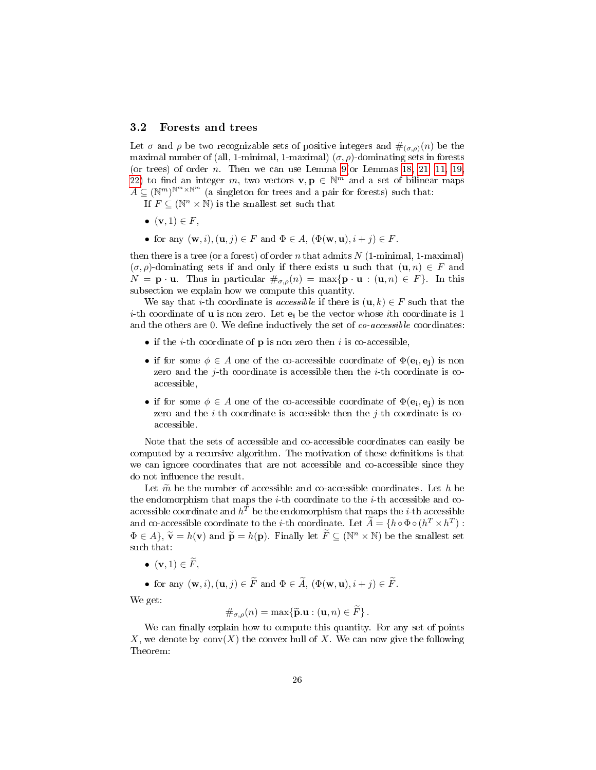### 3.2 Forests and trees

Let  $\sigma$  and  $\rho$  be two recognizable sets of positive integers and  $\#_{(\sigma,\rho)}(n)$  be the maximal number of (all, 1-minimal, 1-maximal)  $(\sigma, \rho)$ -dominating sets in forests (or trees) of order *n*. Then we can use Lemma [9\(](#page-7-0)or Lemmas [18,](#page-10-1) [21,](#page-11-1) [11,](#page-7-1) [19,](#page-11-2) [22\)](#page-11-3) to find an integer m, two vectors  $\mathbf{v}, \mathbf{p} \in \mathbb{N}^m$  and a set of bilinear maps  $A \subseteq (\mathbb{N}^m)^{\mathbb{N}^m \times \mathbb{N}^m}$  (a singleton for trees and a pair for forests) such that:

If  $F \subseteq (\mathbb{N}^n \times \mathbb{N})$  is the smallest set such that

- $\bullet$   $(\mathbf{v}, 1) \in F$ ,
- for any  $(\mathbf{w}, i), (\mathbf{u}, j) \in F$  and  $\Phi \in A$ ,  $(\Phi(\mathbf{w}, \mathbf{u}), i + j) \in F$ .

then there is a tree (or a forest) of order n that admits  $N$  (1-minimal, 1-maximal)  $(\sigma, \rho)$ -dominating sets if and only if there exists **u** such that  $(\mathbf{u}, n) \in F$  and  $N = \mathbf{p} \cdot \mathbf{u}$ . Thus in particular  $\#_{\sigma,o}(n) = \max\{\mathbf{p} \cdot \mathbf{u} : (\mathbf{u},n) \in F\}$ . In this subsection we explain how we compute this quantity.

We say that *i*-th coordinate is *accessible* if there is  $(\mathbf{u}, k) \in F$  such that the *i*-th coordinate of **u** is non zero. Let  $e_i$  be the vector whose *i*th coordinate is 1 and the others are 0. We define inductively the set of  $co-accessible$  coordinates:

- if the *i*-th coordinate of **p** is non zero then *i* is co-accessible,
- if for some  $\phi \in A$  one of the co-accessible coordinate of  $\Phi(\mathbf{e_i}, \mathbf{e_j})$  is non zero and the *j*-th coordinate is accessible then the *i*-th coordinate is coaccessible,
- if for some  $\phi \in A$  one of the co-accessible coordinate of  $\Phi(\mathbf{e_i}, \mathbf{e_j})$  is non zero and the *i*-th coordinate is accessible then the *j*-th coordinate is coaccessible.

Note that the sets of accessible and co-accessible coordinates can easily be computed by a recursive algorithm. The motivation of these definitions is that we can ignore coordinates that are not accessible and co-accessible since they do not influence the result.

Let  $\tilde{m}$  be the number of accessible and co-accessible coordinates. Let h be the endomorphism that maps the  $i$ -th coordinate to the  $i$ -th accessible and coaccessible coordinate and  $h^T$  be the endomorphism that maps the *i*-th accessible and co-accessible coordinate to the *i*-th coordinate. Let  $\widetilde{A} = \{h \circ \Phi \circ (h^T \times h^T) :$  $\Phi \in A$ ,  $\widetilde{\mathbf{v}} = h(\mathbf{v})$  and  $\widetilde{\mathbf{p}} = h(\mathbf{p})$ . Finally let  $\widetilde{F} \subseteq (\mathbb{N}^n \times \mathbb{N})$  be the smallest set such that:

•  $(\mathbf{v}, 1) \in \widetilde{F}$ ,

• for any  $(\mathbf{w}, i), (\mathbf{u}, j) \in \widetilde{F}$  and  $\Phi \in \widetilde{A}$ ,  $(\Phi(\mathbf{w}, \mathbf{u}), i + j) \in \widetilde{F}$ .

We get:

$$
\#_{\sigma,\rho}(n) = \max\{\widetilde{\mathbf{p}}.\mathbf{u} : (\mathbf{u},n) \in F\}.
$$

We can finally explain how to compute this quantity. For any set of points X, we denote by  $conv(X)$  the convex hull of X. We can now give the following Theorem: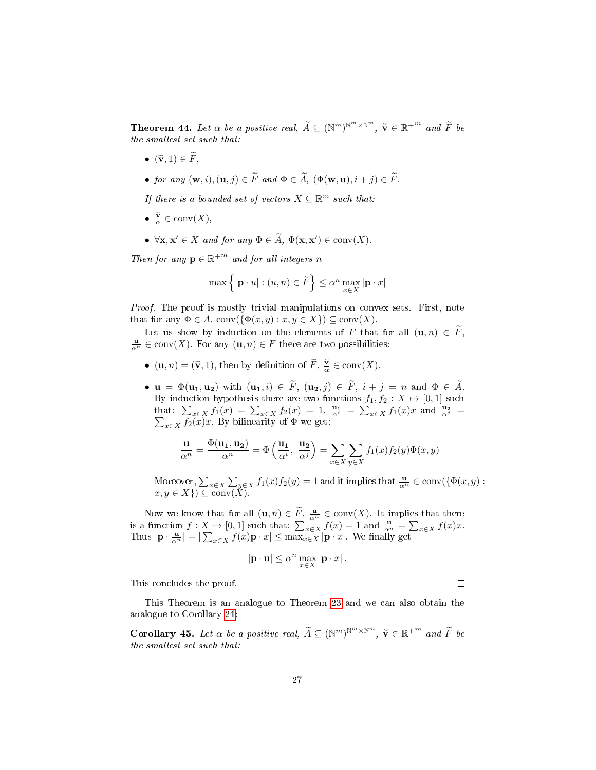**Theorem 44.** Let  $\alpha$  be a positive real,  $\widetilde{A} \subseteq (\mathbb{N}^m)^{\mathbb{N}^m \times \mathbb{N}^m}$ ,  $\widetilde{\mathbf{v}} \in \mathbb{R}^{+^m}$  and  $\widetilde{F}$  be the smallest set each that: the smallest set such that:

- $(\widetilde{\mathbf{v}}, 1) \in \widetilde{F}$ ,
- for any  $(\mathbf{w}, i), (\mathbf{u}, j) \in \widetilde{F}$  and  $\Phi \in \widetilde{A}$ ,  $(\Phi(\mathbf{w}, \mathbf{u}), i + j) \in \widetilde{F}$ .

If there is a bounded set of vectors  $X \subseteq \mathbb{R}^m$  such that:

- $\frac{\tilde{\mathbf{v}}}{\alpha} \in \text{conv}(X),$
- $\forall \mathbf{x}, \mathbf{x}' \in X$  and for any  $\Phi \in \widetilde{A}$ ,  $\Phi(\mathbf{x}, \mathbf{x}') \in \text{conv}(X)$ .

Then for any  $\mathbf{p} \in \mathbb{R}^{+m}$  and for all integers n

$$
\max\left\{|\mathbf{p}\cdot u|:(u,n)\in\widetilde{F}\right\}\leq\alpha^n\max_{x\in X}|\mathbf{p}\cdot x|
$$

*Proof.* The proof is mostly trivial manipulations on convex sets. First, note that for any  $\Phi \in A$ , conv $(\{\Phi(x, y) : x, y \in X\}) \subseteq \text{conv}(X)$ .

Let us show by induction on the elements of F that for all  $(\mathbf{u}, n) \in \overline{F}$ ,  $\frac{\mathbf{u}}{\alpha^n} \in \text{conv}(X)$ . For any  $(\mathbf{u}, n) \in F$  there are two possibilities:

- $(\mathbf{u}, n) = (\tilde{\mathbf{v}}, 1)$ , then by definition of  $\tilde{F}, \frac{\tilde{\mathbf{v}}}{\alpha} \in \text{conv}(X)$ .
- $\mathbf{u} = \Phi(\mathbf{u_1}, \mathbf{u_2})$  with  $(\mathbf{u_1}, i) \in \widetilde{F}$ ,  $(\mathbf{u_2}, j) \in \widetilde{F}$ ,  $i + j = n$  and  $\Phi \in \widetilde{A}$ . By induction hypothesis there are two functions  $f_1, f_2 : X \mapsto [0, 1]$  such that:  $\sum_{x \in X} f_1(x) = \sum_{x \in X} f_2(x) = 1$ ,  $\frac{u_1}{\alpha^2} = \sum_{x \in X} f_1(x)x$  and  $\frac{u_2}{\alpha^3} = \sum_{x \in X} f_2(x)x$ . By bilinearity of  $\Phi$  we get:

$$
\frac{\mathbf{u}}{\alpha^n} = \frac{\Phi(\mathbf{u_1}, \mathbf{u_2})}{\alpha^n} = \Phi\left(\frac{\mathbf{u_1}}{\alpha^i}, \frac{\mathbf{u_2}}{\alpha^j}\right) = \sum_{x \in X} \sum_{y \in X} f_1(x) f_2(y) \Phi(x, y)
$$

Moreover,  $\sum_{x \in X} \sum_{y \in X} f_1(x) f_2(y) = 1$  and it implies that  $\frac{\mathbf{u}}{\alpha^n} \in \text{conv}(\{\Phi(x, y) :$  $x, y \in X$ )  $\subseteq \text{conv}(\check{X})$ .

Now we know that for all  $(\mathbf{u}, n) \in \widetilde{F}$ ,  $\frac{\mathbf{u}}{\alpha^n} \in \text{conv}(X)$ . It implies that there is a function  $f: X \mapsto [0, 1]$  such that:  $\sum_{x \in X} f(x) = 1$  and  $\frac{u}{\alpha^n} = \sum_{x \in X} f(x)x$ . Thus  $|\mathbf{p} \cdot \frac{\mathbf{u}}{\alpha^n}| = |\sum_{x \in X} f(x) \mathbf{p} \cdot x| \leq \max_{x \in X} |\mathbf{p} \cdot x|$ . We finally get

$$
|\mathbf{p} \cdot \mathbf{u}| \leq \alpha^n \max_{x \in X} |\mathbf{p} \cdot x|.
$$

This concludes the proof.

This Theorem is an analogue to Theorem [23](#page-13-1) and we can also obtain the analogue to Corollary [24:](#page-13-0)

<span id="page-26-0"></span>**Corollary 45.** Let  $\alpha$  be a positive real,  $\widetilde{A} \subseteq (\mathbb{N}^m)^{\mathbb{N}^m \times \mathbb{N}^m}$ ,  $\widetilde{\mathbf{v}} \in \mathbb{R}^{+^{m}}$  and  $\widetilde{F}$  be the smallest set such that: the smallest set such that:

 $\Box$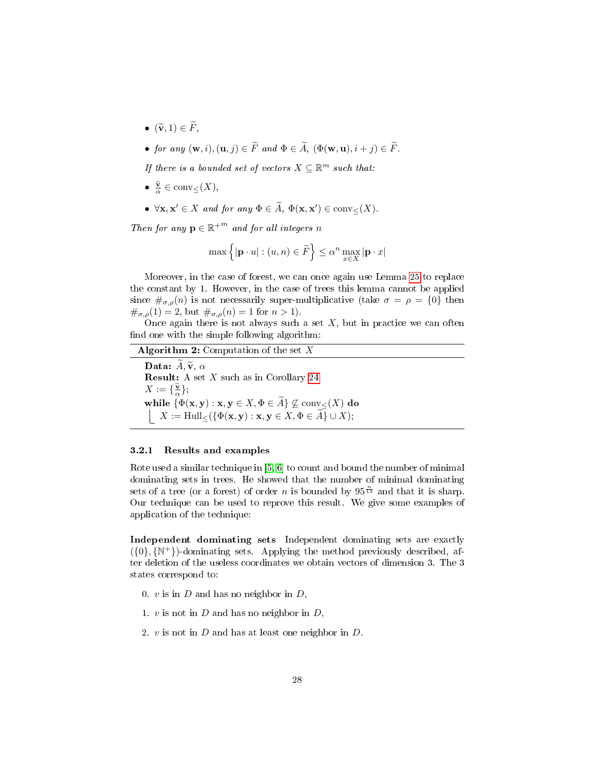- $(\widetilde{\mathbf{v}}, 1) \in \widetilde{F}$ ,
- for any  $(\mathbf{w}, i), (\mathbf{u}, j) \in \widetilde{F}$  and  $\Phi \in \widetilde{A}$ ,  $(\Phi(\mathbf{w}, \mathbf{u}), i + j) \in \widetilde{F}$ .

If there is a bounded set of vectors  $X \subseteq \mathbb{R}^m$  such that:

- $\frac{\tilde{\mathbf{v}}}{\alpha} \in \text{conv}_{\leq}(X),$
- $\forall \mathbf{x}, \mathbf{x}' \in X$  and for any  $\Phi \in \widetilde{A}$ ,  $\Phi(\mathbf{x}, \mathbf{x}') \in \text{conv}_{\leq}(X)$ .

Then for any  $\mathbf{p} \in \mathbb{R}^{+m}$  and for all integers n

$$
\max\left\{|\mathbf{p}\cdot u|:(u,n)\in\widetilde{F}\right\}\leq\alpha^n\max_{x\in X}|\mathbf{p}\cdot x|
$$

Moreover, in the case of forest, we can once again use Lemma [25](#page-14-1) to replace the constant by 1. However, in the case of trees this lemma cannot be applied since  $\#_{\sigma,\rho}(n)$  is not necessarily super-multiplicative (take  $\sigma = \rho = \{0\}$ ) then  $\#_{\sigma,\rho}(1) = 2$ , but  $\#_{\sigma,\rho}(n) = 1$  for  $n > 1$ ).

Once again there is not always such a set  $X$ , but in practice we can often find one with the simple following algorithm:

### <span id="page-27-0"></span>Algorithm 2: Computation of the set  $X$

Data:  $\widetilde{A}, \widetilde{v}, \alpha$ **Result:** A set  $X$  such as in Corollary [24](#page-13-0)  $X := {\{\frac{\tilde{\mathbf{v}}}{\alpha}\}};$ while  $\{\Phi(\mathbf{x}, \mathbf{y}) : \mathbf{x}, \mathbf{y} \in X, \Phi \in A\} \nsubseteq \text{conv}_{\leq}(X)$  do  $X := \operatorname{Hull}_{\leq}(\{\Phi(\mathbf{x}, \mathbf{y}) : \mathbf{x}, \mathbf{y} \in X, \Phi \in A\} \cup X);$ 

#### 3.2.1 Results and examples

Rote used a similar technique in [\[5,](#page-32-3) [6\]](#page-32-4) to count and bound the number of minimal dominating sets in trees. He showed that the number of minimal dominating sets of a tree (or a forest) of order *n* is bounded by  $95^{\frac{n}{13}}$  and that it is sharp. Our technique can be used to reprove this result. We give some examples of application of the technique:

Independent dominating sets Independent dominating sets are exactly  $({0}, {N^+})$ -dominating sets. Applying the method previously described, after deletion of the useless coordinates we obtain vectors of dimension 3. The 3 states correspond to:

- 0.  $v$  is in  $D$  and has no neighbor in  $D$ ,
- 1.  $v$  is not in  $D$  and has no neighbor in  $D$ ,
- 2. v is not in D and has at least one neighbor in D.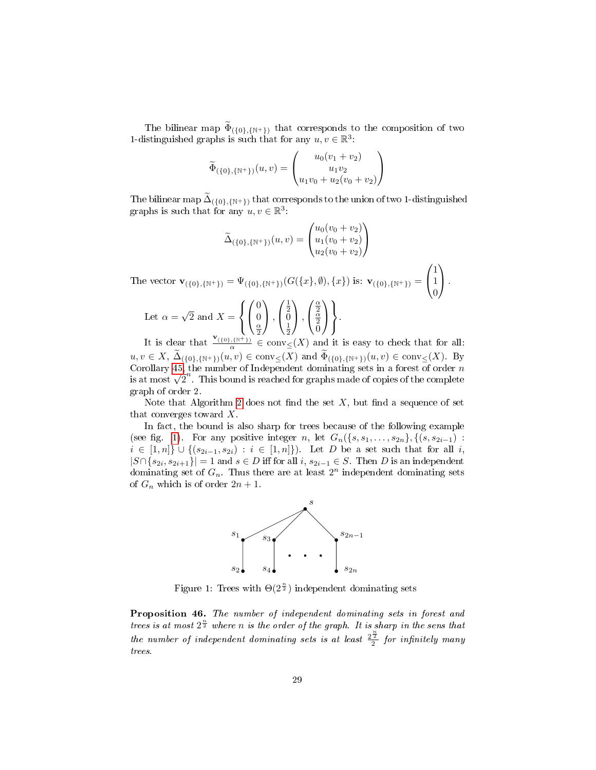The bilinear map  $\Phi_{(\{0\},\{N^+\})}$  that corresponds to the composition of two 1-distinguished graphs is such that for any  $u, v \in \mathbb{R}^3$ :

$$
\widetilde{\Phi}_{(\{0\},\{\mathbb{N}^+\})}(u,v) = \begin{pmatrix} u_0(v_1+v_2) \\ u_1v_2 \\ u_1v_0 + u_2(v_0+v_2) \end{pmatrix}
$$

The bilinear map  $\Delta_{(\{0\}, \{N^+\})}$  that corresponds to the union of two 1-distinguished graphs is such that for any  $u, v \in \mathbb{R}^3$ :

$$
\widetilde{\Delta}_{(\{0\},\{\mathbb{N}^+\})}(u,v) = \begin{pmatrix} u_0(v_0 + v_2) \\ u_1(v_0 + v_2) \\ u_2(v_0 + v_2) \end{pmatrix}
$$
\nThe vector  $\mathbf{v}_{(\{0\},\{\mathbb{N}^+\})} = \Psi_{(\{0\},\{\mathbb{N}^+\})}(G(\{x\},\emptyset),\{x\})$  is:  $\mathbf{v}_{(\{0\},\{\mathbb{N}^+\})} = \begin{pmatrix} 1 \\ 1 \\ 0 \end{pmatrix}$ .  
\nLet  $\alpha = \sqrt{2}$  and  $X = \begin{pmatrix} 0 \\ 0 \\ \frac{\alpha}{2} \end{pmatrix}, \begin{pmatrix} \frac{1}{2} \\ 0 \\ \frac{1}{2} \end{pmatrix}, \begin{pmatrix} \frac{\alpha}{2} \\ \frac{\alpha}{2} \\ 0 \end{pmatrix} \begin{pmatrix} \frac{\alpha}{2} \\ \frac{\alpha}{2} \\ 0 \end{pmatrix}.$   
\nIt is clear that  $\frac{\mathbf{v}_{(\{0\},\{\mathbb{N}^+\})}}{\mathbf{v}_{(\{0\},\{\mathbb{N}^+\})}} \in \text{conv}_{\leq}(X)$  and it is easy to check that for a

It is clear that  $\frac{\mathbf{v}_{(\{0\},\{N^+\})}}{\alpha} \in \text{conv}_{\leq}(X)$  and it is easy to check that for all:  $u, v \in X$ ,  $\Delta_{(\{0\}, \{\mathbb{N}^+\})}(u, v) \in \text{conv}_{\leq}(X)$  and  $\Phi_{(\{0\}, \{\mathbb{N}^+\})}(u, v) \in \text{conv}_{\leq}(X)$ . By Corollary [45,](#page-26-0) the number of Independent dominating sets in a forest of order  $n$ Corollary 45, the number of Independent dominating sets in a forest of order  $n$  is at most  $\sqrt{2}^n$ . This bound is reached for graphs made of copies of the complete graph of order 2.

Note that Algorithm [2](#page-27-0) does not find the set  $X$ , but find a sequence of set that converges toward X.

<span id="page-28-0"></span>In fact, the bound is also sharp for trees because of the following example (see fig. [1\)](#page-28-0). For any positive integer n, let  $G_n({s, s_1, \ldots, s_{2n}}), ({s, s_{2i-1}})$ :  $i \in [1, n]$  ∪  $\{(s_{2i-1}, s_{2i}) : i \in [1, n]\})$ . Let D be a set such that for all i,  $|S \cap \{s_{2i}, s_{2i+1}\}| = 1$  and  $s \in D$  iff for all  $i, s_{2i-1} \in S$ . Then D is an independent dominating set of  $G_n$ . Thus there are at least  $2^n$  independent dominating sets of  $G_n$  which is of order  $2n + 1$ .



Figure 1: Trees with  $\Theta(2^{\frac{n}{2}})$  independent dominating sets

Proposition 46. The number of independent dominating sets in forest and trees is at most  $2^{\frac{n}{2}}$  where n is the order of the graph. It is sharp in the sens that the number of independent dominating sets is at least  $\frac{2^{\frac{n}{2}}}{2}$  for infinitely many trees.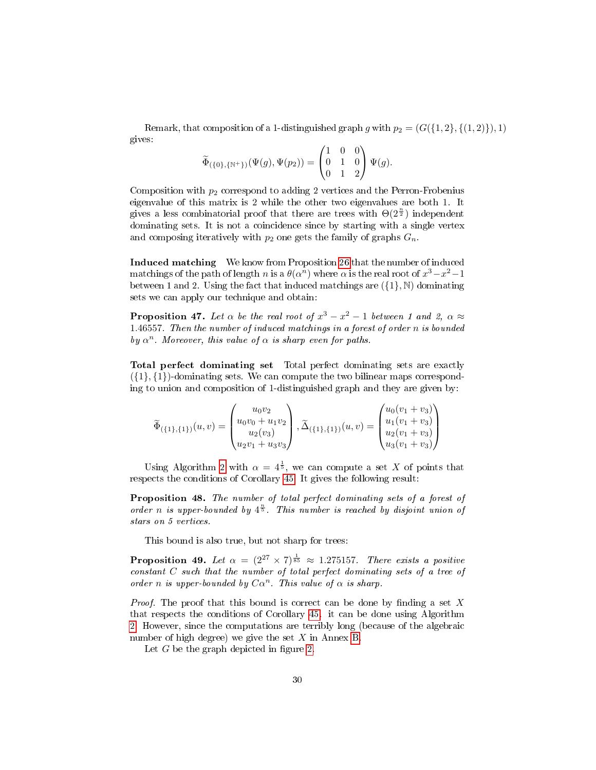Remark, that composition of a 1-distinguished graph g with  $p_2 = (G({1, 2}, {1, 2})$ , 1) gives:

$$
\widetilde{\Phi}_{(\{0\},\{\mathbb{N}^+\})}(\Psi(g),\Psi(p_2)) = \begin{pmatrix} 1 & 0 & 0 \\ 0 & 1 & 0 \\ 0 & 1 & 2 \end{pmatrix} \Psi(g).
$$

Composition with  $p_2$  correspond to adding 2 vertices and the Perron-Frobenius eigenvalue of this matrix is 2 while the other two eigenvalues are both 1. It gives a less combinatorial proof that there are trees with  $\Theta(2^{\frac{n}{2}})$  independent dominating sets. It is not a coincidence since by starting with a single vertex and composing iteratively with  $p_2$  one gets the family of graphs  $G_n$ .

Induced matching We know from Proposition [26](#page-17-0) that the number of induced matchings of the path of length n is a  $\theta(\alpha^n)$  where  $\alpha$  is the real root of  $x^3 - x^2 - 1$ between 1 and 2. Using the fact that induced matchings are  $({1}, \mathbb{N})$  dominating sets we can apply our technique and obtain:

**Proposition 47.** Let  $\alpha$  be the real root of  $x^3 - x^2 - 1$  between 1 and 2,  $\alpha \approx$ 1.46557. Then the number of induced matchings in a forest of order n is bounded by  $\alpha^n$ . Moreover, this value of  $\alpha$  is sharp even for paths.

Total perfect dominating set Total perfect dominating sets are exactly  $({1}, {1})$ -dominating sets. We can compute the two bilinear maps corresponding to union and composition of 1-distinguished graph and they are given by:

$$
\widetilde{\Phi}_{(\{1\},\{1\})}(u,v) = \begin{pmatrix} u_0v_2 \\ u_0v_0 + u_1v_2 \\ u_2(v_3) \\ u_2v_1 + u_3v_3 \end{pmatrix}, \widetilde{\Delta}_{(\{1\},\{1\})}(u,v) = \begin{pmatrix} u_0(v_1 + v_3) \\ u_1(v_1 + v_3) \\ u_2(v_1 + v_3) \\ u_3(v_1 + v_3) \end{pmatrix}
$$

Using Algorithm [2](#page-27-0) with  $\alpha = 4^{\frac{1}{5}}$ , we can compute a set X of points that respects the conditions of Corollary [45.](#page-26-0) It gives the following result:

Proposition 48. The number of total perfect dominating sets of a forest of order n is upper-bounded by  $4^{\frac{n}{5}}$ . This number is reached by disjoint union of stars on 5 vertices.

This bound is also true, but not sharp for trees:

<span id="page-29-0"></span>**Proposition 49.** Let  $\alpha = (2^{27} \times 7)^{\frac{1}{85}} \approx 1.275157$ . There exists a positive constant C such that the number of total perfect dominating sets of a tree of order n is upper-bounded by  $C\alpha^n$ . This value of  $\alpha$  is sharp.

*Proof.* The proof that this bound is correct can be done by finding a set X that respects the conditions of Corollary [45.](#page-26-0) it can be done using Algorithm [2.](#page-27-0) However, since the computations are terribly long (because of the algebraic number of high degree) we give the set  $X$  in Annex [B.](#page-34-0)

Let  $G$  be the graph depicted in figure [2.](#page-30-0)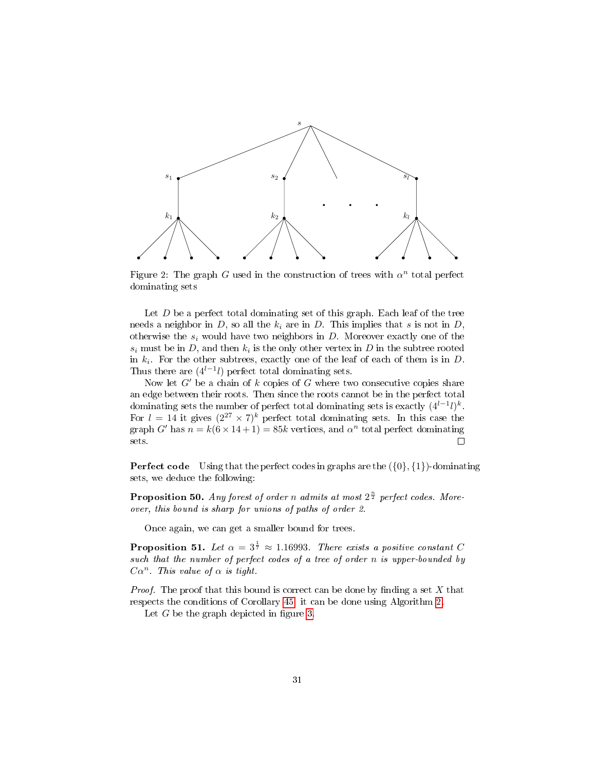<span id="page-30-0"></span>

Figure 2: The graph G used in the construction of trees with  $\alpha^n$  total perfect dominating sets

Let  $D$  be a perfect total dominating set of this graph. Each leaf of the tree needs a neighbor in D, so all the  $k_i$  are in D. This implies that s is not in D, otherwise the  $s_i$  would have two neighbors in  $D$ . Moreover exactly one of the  $s_i$  must be in D, and then  $k_i$  is the only other vertex in D in the subtree rooted in  $k_i$ . For the other subtrees, exactly one of the leaf of each of them is in  $D$ . Thus there are  $(4^{l-1}l)$  perfect total dominating sets.

Now let  $G'$  be a chain of k copies of G where two consecutive copies share an edge between their roots. Then since the roots cannot be in the perfect total dominating sets the number of perfect total dominating sets is exactly  $(4^{l-1}l)^k$ . For  $l = 14$  it gives  $(2^{27} \times 7)^k$  perfect total dominating sets. In this case the graph G' has  $n = k(6 \times 14 + 1) = 85k$  vertices, and  $\alpha^n$  total perfect dominating sets.  $\Box$ 

**Perfect code** Using that the perfect codes in graphs are the  $({0}, {1})$ -dominating sets, we deduce the following:

**Proposition 50.** Any forest of order n admits at most  $2^{\frac{n}{2}}$  perfect codes. Moreover, this bound is sharp for unions of paths of order 2.

Once again, we can get a smaller bound for trees.

**Proposition 51.** Let  $\alpha = 3^{\frac{1}{7}} \approx 1.16993$ . There exists a positive constant C such that the number of perfect codes of a tree of order n is upper-bounded by  $C\alpha^n$ . This value of  $\alpha$  is tight.

*Proof.* The proof that this bound is correct can be done by finding a set  $X$  that respects the conditions of Corollary [45.](#page-26-0) it can be done using Algorithm [2.](#page-27-0)

Let  $G$  be the graph depicted in figure [3.](#page-31-0)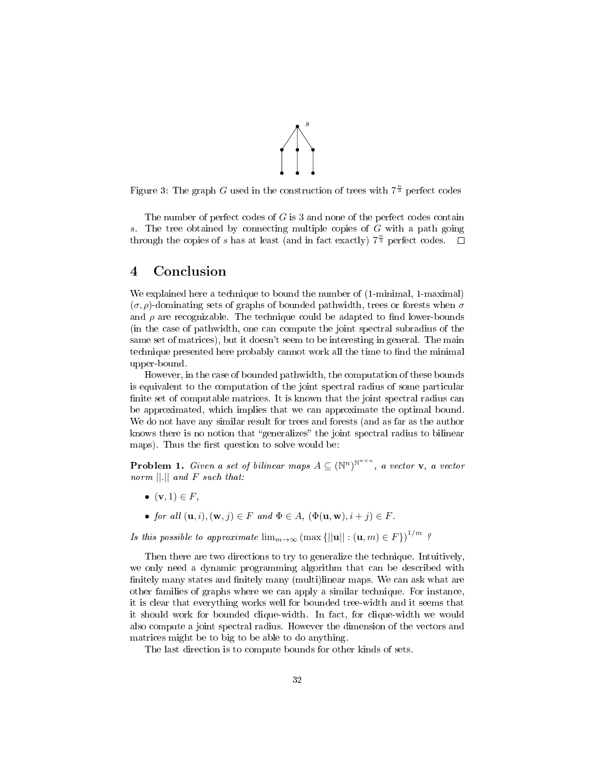

<span id="page-31-0"></span>Figure 3: The graph G used in the construction of trees with  $7^{\frac{n}{3}}$  perfect codes

The number of perfect codes of G is 3 and none of the perfect codes contain s. The tree obtained by connecting multiple copies of  $G$  with a path going through the copies of s has at least (and in fact exactly)  $7^{\frac{n}{3}}$  perfect codes.

# 4 Conclusion

We explained here a technique to bound the number of (1-minimal, 1-maximal)  $(\sigma, \rho)$ -dominating sets of graphs of bounded pathwidth, trees or forests when  $\sigma$ and  $\rho$  are recognizable. The technique could be adapted to find lower-bounds (in the case of pathwidth, one can compute the joint spectral subradius of the same set of matrices), but it doesn't seem to be interesting in general. The main technique presented here probably cannot work all the time to find the minimal upper-bound.

However, in the case of bounded pathwidth, the computation of these bounds is equivalent to the computation of the joint spectral radius of some particular finite set of computable matrices. It is known that the joint spectral radius can be approximated, which implies that we can approximate the optimal bound. We do not have any similar result for trees and forests (and as far as the author knows there is no notion that "generalizes" the joint spectral radius to bilinear maps). Thus the first question to solve would be:

**Problem 1.** Given a set of bilinear maps  $A \subseteq (\mathbb{N}^n)^{\mathbb{N}^{n \times n}}$ , a vector **v**, a vector norm  $||.||$  and F such that:

- $(v, 1) \in F$ ,
- for all  $(\mathbf{u}, i), (\mathbf{w}, j) \in F$  and  $\Phi \in A$ ,  $(\Phi(\mathbf{u}, \mathbf{w}), i + j) \in F$ .

Is this possible to approximate  $\lim_{m\to\infty}$   $(\max\{||\mathbf{u}||: (\mathbf{u},m)\in F\})^{1/m}$ ?

Then there are two directions to try to generalize the technique. Intuitively, we only need a dynamic programming algorithm that can be described with finitely many states and finitely many (multi)linear maps. We can ask what are other families of graphs where we can apply a similar technique. For instance, it is clear that everything works well for bounded tree-width and it seems that it should work for bounded clique-width. In fact, for clique-width we would also compute a joint spectral radius. However the dimension of the vectors and matrices might be to big to be able to do anything.

The last direction is to compute bounds for other kinds of sets.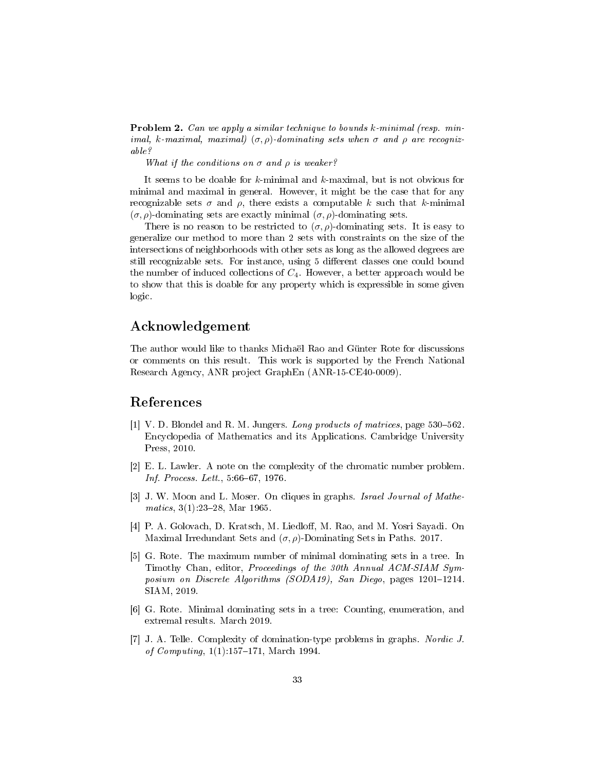Problem 2. Can we apply a similar technique to bounds k-minimal (resp. minimal, k-maximal, maximal)  $(\sigma, \rho)$ -dominating sets when  $\sigma$  and  $\rho$  are recognizable?

What if the conditions on  $\sigma$  and  $\rho$  is weaker?

It seems to be doable for  $k$ -minimal and  $k$ -maximal, but is not obvious for minimal and maximal in general. However, it might be the case that for any recognizable sets  $\sigma$  and  $\rho$ , there exists a computable k such that k-minimal  $(\sigma, \rho)$ -dominating sets are exactly minimal  $(\sigma, \rho)$ -dominating sets.

There is no reason to be restricted to  $(\sigma, \rho)$ -dominating sets. It is easy to generalize our method to more than 2 sets with constraints on the size of the intersections of neighborhoods with other sets as long as the allowed degrees are still recognizable sets. For instance, using 5 different classes one could bound the number of induced collections of  $C_4$ . However, a better approach would be to show that this is doable for any property which is expressible in some given logic.

# Acknowledgement

The author would like to thanks Michaël Rao and Günter Rote for discussions or comments on this result. This work is supported by the French National Research Agency, ANR project GraphEn (ANR-15-CE40-0009).

# References

- <span id="page-32-6"></span>[1] V. D. Blondel and R. M. Jungers. Long products of matrices, page 530–562. Encyclopedia of Mathematics and its Applications. Cambridge University Press, 2010.
- <span id="page-32-2"></span>[2] E. L. Lawler. A note on the complexity of the chromatic number problem.  $Inf. Process. Let t., 5:66–67, 1976.$
- <span id="page-32-1"></span>[3] J. W. Moon and L. Moser. On cliques in graphs. Israel Journal of Mathematics,  $3(1)$ :23-28, Mar 1965.
- <span id="page-32-5"></span>[4] P. A. Golovach, D. Kratsch, M. Liedloff, M. Rao, and M. Yosri Sayadi. On Maximal Irredundant Sets and  $(\sigma, \rho)$ -Dominating Sets in Paths. 2017.
- <span id="page-32-3"></span>[5] G. Rote. The maximum number of minimal dominating sets in a tree. In Timothy Chan, editor, Proceedings of the 30th Annual ACM-SIAM Symposium on Discrete Algorithms (SODA19), San Diego, pages  $1201-1214$ . SIAM, 2019.
- <span id="page-32-4"></span>[6] G. Rote. Minimal dominating sets in a tree: Counting, enumeration, and extremal results. March 2019.
- <span id="page-32-0"></span>[7] J. A. Telle. Complexity of domination-type problems in graphs. Nordic J. of Computing,  $1(1):157-171$ , March 1994.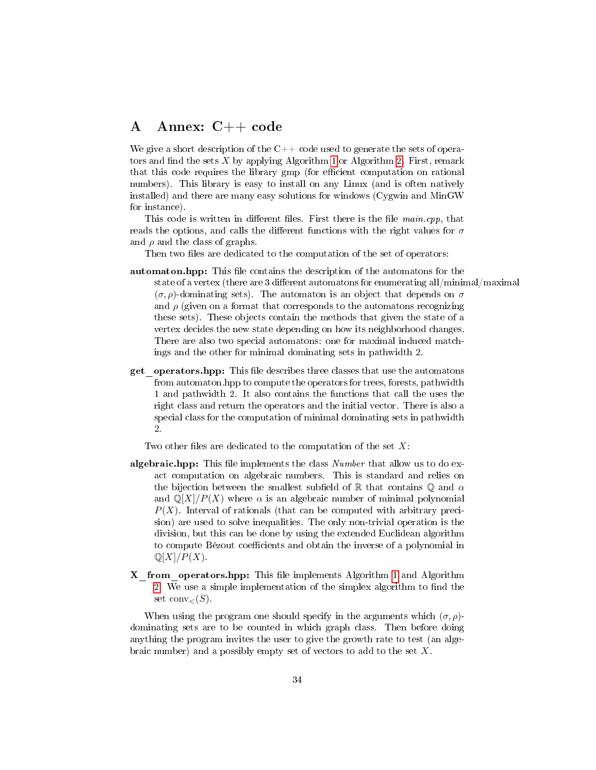# A Annex: C++ code

We give a short description of the  $C++$  code used to generate the sets of operators and find the sets  $X$  by applying Algorithm [1](#page-14-0) or Algorithm [2.](#page-27-0) First, remark that this code requires the library gmp (for efficient computation on rational numbers). This library is easy to install on any Linux (and is often natively installed) and there are many easy solutions for windows (Cygwin and MinGW for instance).

This code is written in different files. First there is the file main.cpp, that reads the options, and calls the different functions with the right values for  $\sigma$ and  $\rho$  and the class of graphs.

Then two files are dedicated to the computation of the set of operators:

- automaton.hpp: This file contains the description of the automatons for the state of a vertex (there are 3 different automatons for enumerating all/minimal/maximal  $(\sigma, \rho)$ -dominating sets). The automaton is an object that depends on  $\sigma$ and  $\rho$  (given on a format that corresponds to the automatons recognizing these sets). These objects contain the methods that given the state of a vertex decides the new state depending on how its neighborhood changes. There are also two special automatons: one for maximal induced matchings and the other for minimal dominating sets in pathwidth 2.
- get operators.hpp: This file describes three classes that use the automatons from automaton.hpp to compute the operators for trees, forests, pathwidth 1 and pathwidth 2. It also contains the functions that call the uses the right class and return the operators and the initial vector. There is also a special class for the computation of minimal dominating sets in pathwidth 2.

Two other files are dedicated to the computation of the set  $X$ :

- **algebraic.hpp:** This file implements the class  $Number$  that allow us to do exact computation on algebraic numbers. This is standard and relies on the bijection between the smallest subfield of R that contains Q and  $\alpha$ and  $\mathbb{Q}[X]/P(X)$  where  $\alpha$  is an algebraic number of minimal polynomial  $P(X)$ . Interval of rationals (that can be computed with arbitrary precision) are used to solve inequalities. The only non-trivial operation is the division, but this can be done by using the extended Euclidean algorithm to compute Bézout coefficients and obtain the inverse of a polynomial in  $\mathbb{Q}[X]/P(X)$ .
- X from operators.hpp: This file implements Algorithm [1](#page-14-0) and Algorithm [2.](#page-27-0) We use a simple implementation of the simplex algorithm to find the set  $conv_{\leq}(S)$ .

When using the program one should specify in the arguments which  $(\sigma, \rho)$ dominating sets are to be counted in which graph class. Then before doing anything the program invites the user to give the growth rate to test (an algebraic number) and a possibly empty set of vectors to add to the set X.